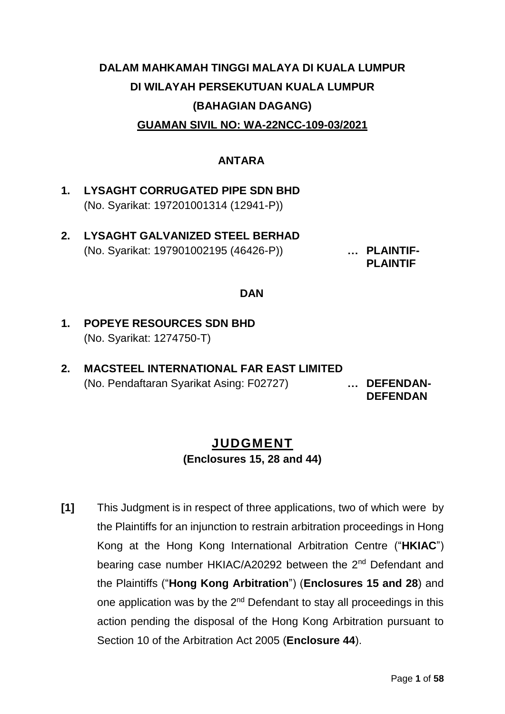# **DALAM MAHKAMAH TINGGI MALAYA DI KUALA LUMPUR DI WILAYAH PERSEKUTUAN KUALA LUMPUR (BAHAGIAN DAGANG) GUAMAN SIVIL NO: WA-22NCC-109-03/2021**

#### **ANTARA**

- **1. LYSAGHT CORRUGATED PIPE SDN BHD**  (No. Syarikat: 197201001314 (12941-P))
- **2. LYSAGHT GALVANIZED STEEL BERHAD**  (No. Syarikat: 197901002195 (46426-P)) **… PLAINTIF-**

**PLAINTIF** 

#### **DAN**

- **1. POPEYE RESOURCES SDN BHD**  (No. Syarikat: 1274750-T)
- **2. MACSTEEL INTERNATIONAL FAR EAST LIMITED**  (No. Pendaftaran Syarikat Asing: F02727) **… DEFENDAN-**

**DEFENDAN** 

## **JUDGMENT (Enclosures 15, 28 and 44)**

**[1]** This Judgment is in respect of three applications, two of which were by the Plaintiffs for an injunction to restrain arbitration proceedings in Hong Kong at the Hong Kong International Arbitration Centre ("**HKIAC**") bearing case number HKIAC/A20292 between the 2<sup>nd</sup> Defendant and the Plaintiffs ("**Hong Kong Arbitration**") (**Enclosures 15 and 28**) and one application was by the 2<sup>nd</sup> Defendant to stay all proceedings in this action pending the disposal of the Hong Kong Arbitration pursuant to Section 10 of the Arbitration Act 2005 (**Enclosure 44**).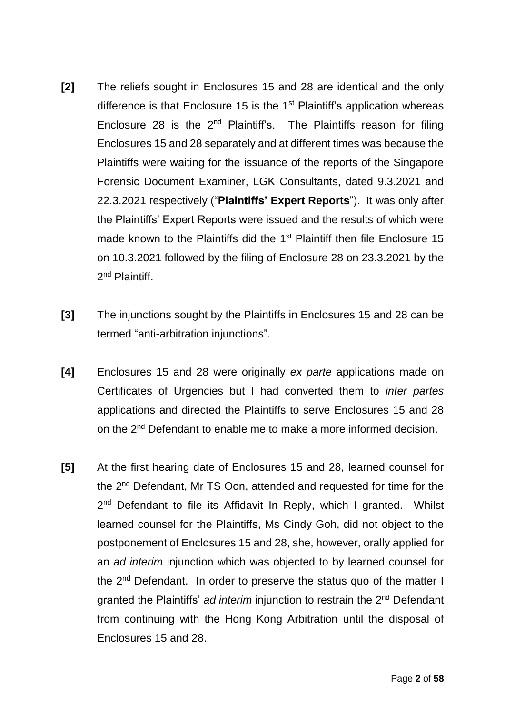- **[2]** The reliefs sought in Enclosures 15 and 28 are identical and the only difference is that Enclosure 15 is the  $1<sup>st</sup>$  Plaintiff's application whereas Enclosure 28 is the  $2<sup>nd</sup>$  Plaintiff's. The Plaintiffs reason for filing Enclosures 15 and 28 separately and at different times was because the Plaintiffs were waiting for the issuance of the reports of the Singapore Forensic Document Examiner, LGK Consultants, dated 9.3.2021 and 22.3.2021 respectively ("**Plaintiffs' Expert Reports**"). It was only after the Plaintiffs' Expert Reports were issued and the results of which were made known to the Plaintiffs did the 1<sup>st</sup> Plaintiff then file Enclosure 15 on 10.3.2021 followed by the filing of Enclosure 28 on 23.3.2021 by the 2<sup>nd</sup> Plaintiff.
- **[3]** The injunctions sought by the Plaintiffs in Enclosures 15 and 28 can be termed "anti-arbitration injunctions".
- **[4]** Enclosures 15 and 28 were originally *ex parte* applications made on Certificates of Urgencies but I had converted them to *inter partes* applications and directed the Plaintiffs to serve Enclosures 15 and 28 on the 2<sup>nd</sup> Defendant to enable me to make a more informed decision.
- **[5]** At the first hearing date of Enclosures 15 and 28, learned counsel for the 2nd Defendant, Mr TS Oon, attended and requested for time for the 2<sup>nd</sup> Defendant to file its Affidavit In Reply, which I granted. Whilst learned counsel for the Plaintiffs, Ms Cindy Goh, did not object to the postponement of Enclosures 15 and 28, she, however, orally applied for an *ad interim* injunction which was objected to by learned counsel for the 2nd Defendant. In order to preserve the status quo of the matter I granted the Plaintiffs' *ad interim* injunction to restrain the 2nd Defendant from continuing with the Hong Kong Arbitration until the disposal of Enclosures 15 and 28.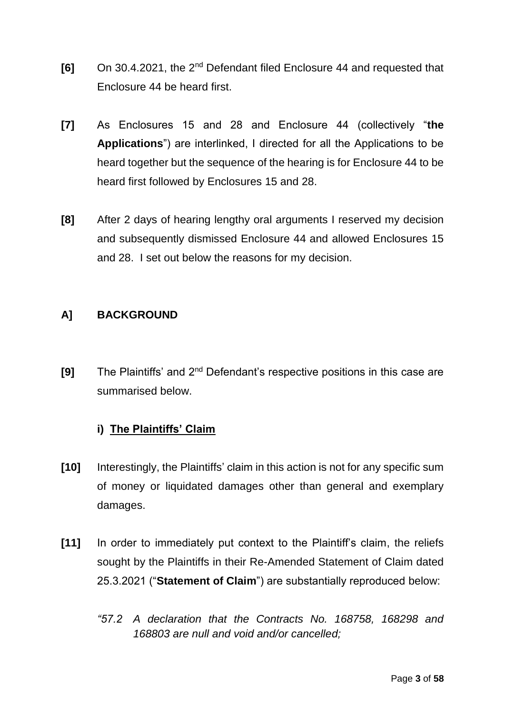- **[6]** On 30.4.2021, the 2nd Defendant filed Enclosure 44 and requested that Enclosure 44 be heard first.
- **[7]** As Enclosures 15 and 28 and Enclosure 44 (collectively "**the Applications**") are interlinked, I directed for all the Applications to be heard together but the sequence of the hearing is for Enclosure 44 to be heard first followed by Enclosures 15 and 28.
- **[8]** After 2 days of hearing lengthy oral arguments I reserved my decision and subsequently dismissed Enclosure 44 and allowed Enclosures 15 and 28. I set out below the reasons for my decision.

## **A] BACKGROUND**

**[9]** The Plaintiffs' and 2nd Defendant's respective positions in this case are summarised below.

## **i) The Plaintiffs' Claim**

- **[10]** Interestingly, the Plaintiffs' claim in this action is not for any specific sum of money or liquidated damages other than general and exemplary damages.
- **[11]** In order to immediately put context to the Plaintiff's claim, the reliefs sought by the Plaintiffs in their Re-Amended Statement of Claim dated 25.3.2021 ("**Statement of Claim**") are substantially reproduced below:
	- *"57.2 A declaration that the Contracts No. 168758, 168298 and 168803 are null and void and/or cancelled;*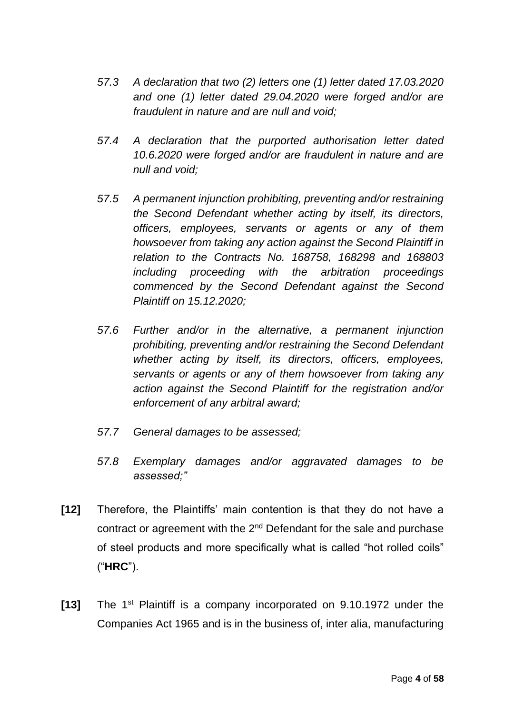- *57.3 A declaration that two (2) letters one (1) letter dated 17.03.2020 and one (1) letter dated 29.04.2020 were forged and/or are fraudulent in nature and are null and void;*
- *57.4 A declaration that the purported authorisation letter dated 10.6.2020 were forged and/or are fraudulent in nature and are null and void;*
- *57.5 A permanent injunction prohibiting, preventing and/or restraining the Second Defendant whether acting by itself, its directors, officers, employees, servants or agents or any of them howsoever from taking any action against the Second Plaintiff in relation to the Contracts No. 168758, 168298 and 168803 including proceeding with the arbitration proceedings commenced by the Second Defendant against the Second Plaintiff on 15.12.2020;*
- *57.6 Further and/or in the alternative, a permanent injunction prohibiting, preventing and/or restraining the Second Defendant whether acting by itself, its directors, officers, employees, servants or agents or any of them howsoever from taking any action against the Second Plaintiff for the registration and/or enforcement of any arbitral award;*
- *57.7 General damages to be assessed;*
- *57.8 Exemplary damages and/or aggravated damages to be assessed;"*
- **[12]** Therefore, the Plaintiffs' main contention is that they do not have a contract or agreement with the  $2<sup>nd</sup>$  Defendant for the sale and purchase of steel products and more specifically what is called "hot rolled coils" ("**HRC**").
- **[13]** The 1st Plaintiff is a company incorporated on 9.10.1972 under the Companies Act 1965 and is in the business of, inter alia, manufacturing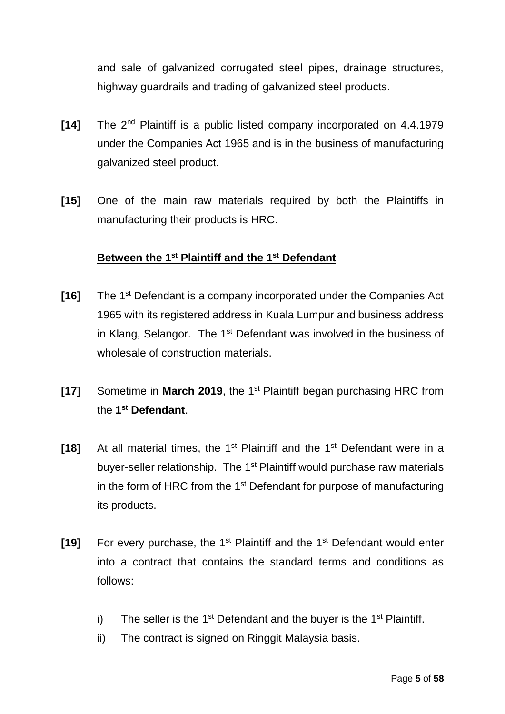and sale of galvanized corrugated steel pipes, drainage structures, highway guardrails and trading of galvanized steel products.

- **[14]** The 2nd Plaintiff is a public listed company incorporated on 4.4.1979 under the Companies Act 1965 and is in the business of manufacturing galvanized steel product.
- **[15]** One of the main raw materials required by both the Plaintiffs in manufacturing their products is HRC.

### **Between the 1st Plaintiff and the 1st Defendant**

- **[16]** The 1<sup>st</sup> Defendant is a company incorporated under the Companies Act 1965 with its registered address in Kuala Lumpur and business address in Klang, Selangor. The 1<sup>st</sup> Defendant was involved in the business of wholesale of construction materials.
- **[17]** Sometime in **March 2019**, the 1st Plaintiff began purchasing HRC from the **1 st Defendant**.
- **[18]** At all material times, the 1st Plaintiff and the 1st Defendant were in a buyer-seller relationship. The 1<sup>st</sup> Plaintiff would purchase raw materials in the form of HRC from the  $1<sup>st</sup>$  Defendant for purpose of manufacturing its products.
- [19] For every purchase, the 1<sup>st</sup> Plaintiff and the 1<sup>st</sup> Defendant would enter into a contract that contains the standard terms and conditions as follows:
	- i) The seller is the  $1<sup>st</sup>$  Defendant and the buyer is the  $1<sup>st</sup>$  Plaintiff.
	- ii) The contract is signed on Ringgit Malaysia basis.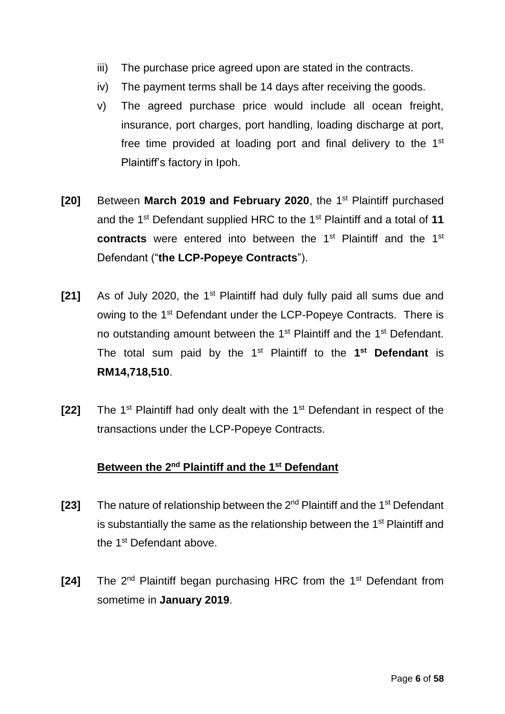- iii) The purchase price agreed upon are stated in the contracts.
- iv) The payment terms shall be 14 days after receiving the goods.
- v) The agreed purchase price would include all ocean freight, insurance, port charges, port handling, loading discharge at port, free time provided at loading port and final delivery to the 1<sup>st</sup> Plaintiff's factory in Ipoh.
- **[20]** Between **March 2019 and February 2020**, the 1<sup>st</sup> Plaintiff purchased and the 1st Defendant supplied HRC to the 1st Plaintiff and a total of **11 contracts** were entered into between the 1<sup>st</sup> Plaintiff and the 1<sup>st</sup> Defendant ("**the LCP-Popeye Contracts**").
- **[21]** As of July 2020, the 1<sup>st</sup> Plaintiff had duly fully paid all sums due and owing to the 1st Defendant under the LCP-Popeye Contracts. There is no outstanding amount between the 1<sup>st</sup> Plaintiff and the 1<sup>st</sup> Defendant. The total sum paid by the 1st Plaintiff to the **1 st Defendant** is **RM14,718,510**.
- **[22]** The 1st Plaintiff had only dealt with the 1st Defendant in respect of the transactions under the LCP-Popeye Contracts.

## **Between the 2nd Plaintiff and the 1st Defendant**

- **[23]** The nature of relationship between the 2nd Plaintiff and the 1st Defendant is substantially the same as the relationship between the  $1<sup>st</sup>$  Plaintiff and the 1<sup>st</sup> Defendant above.
- [24] The 2<sup>nd</sup> Plaintiff began purchasing HRC from the 1<sup>st</sup> Defendant from sometime in **January 2019**.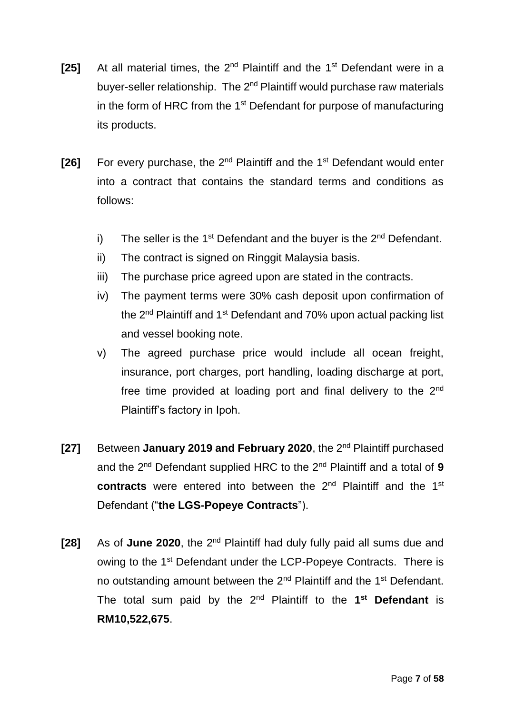- **[25]** At all material times, the 2<sup>nd</sup> Plaintiff and the 1<sup>st</sup> Defendant were in a buyer-seller relationship. The 2<sup>nd</sup> Plaintiff would purchase raw materials in the form of HRC from the  $1<sup>st</sup>$  Defendant for purpose of manufacturing its products.
- **[26]** For every purchase, the 2<sup>nd</sup> Plaintiff and the 1<sup>st</sup> Defendant would enter into a contract that contains the standard terms and conditions as follows:
	- i) The seller is the 1<sup>st</sup> Defendant and the buyer is the  $2^{nd}$  Defendant.
	- ii) The contract is signed on Ringgit Malaysia basis.
	- iii) The purchase price agreed upon are stated in the contracts.
	- iv) The payment terms were 30% cash deposit upon confirmation of the 2<sup>nd</sup> Plaintiff and 1<sup>st</sup> Defendant and 70% upon actual packing list and vessel booking note.
	- v) The agreed purchase price would include all ocean freight, insurance, port charges, port handling, loading discharge at port, free time provided at loading port and final delivery to the 2<sup>nd</sup> Plaintiff's factory in Ipoh.
- [27] Between January 2019 and February 2020, the 2<sup>nd</sup> Plaintiff purchased and the 2<sup>nd</sup> Defendant supplied HRC to the 2<sup>nd</sup> Plaintiff and a total of 9 **contracts** were entered into between the 2<sup>nd</sup> Plaintiff and the 1<sup>st</sup> Defendant ("**the LGS-Popeye Contracts**").
- **[28]** As of **June 2020**, the 2nd Plaintiff had duly fully paid all sums due and owing to the 1st Defendant under the LCP-Popeye Contracts. There is no outstanding amount between the 2<sup>nd</sup> Plaintiff and the 1<sup>st</sup> Defendant. The total sum paid by the 2nd Plaintiff to the **1 st Defendant** is **RM10,522,675**.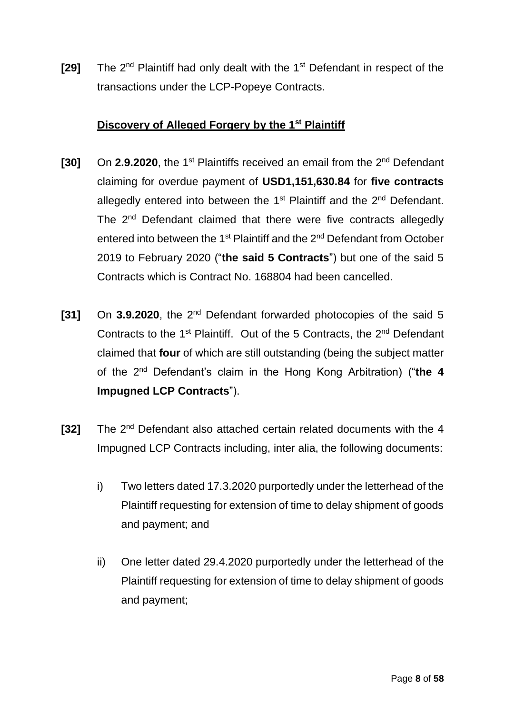**[29]** The 2<sup>nd</sup> Plaintiff had only dealt with the 1<sup>st</sup> Defendant in respect of the transactions under the LCP-Popeye Contracts.

### **Discovery of Alleged Forgery by the 1st Plaintiff**

- [30] On 2.9.2020, the 1<sup>st</sup> Plaintiffs received an email from the 2<sup>nd</sup> Defendant claiming for overdue payment of **USD1,151,630.84** for **five contracts** allegedly entered into between the 1<sup>st</sup> Plaintiff and the 2<sup>nd</sup> Defendant. The 2<sup>nd</sup> Defendant claimed that there were five contracts allegedly entered into between the 1<sup>st</sup> Plaintiff and the 2<sup>nd</sup> Defendant from October 2019 to February 2020 ("**the said 5 Contracts**") but one of the said 5 Contracts which is Contract No. 168804 had been cancelled.
- [31] On 3.9.2020, the 2<sup>nd</sup> Defendant forwarded photocopies of the said 5 Contracts to the  $1<sup>st</sup>$  Plaintiff. Out of the 5 Contracts, the  $2<sup>nd</sup>$  Defendant claimed that **four** of which are still outstanding (being the subject matter of the 2nd Defendant's claim in the Hong Kong Arbitration) ("**the 4 Impugned LCP Contracts**").
- [32] The 2<sup>nd</sup> Defendant also attached certain related documents with the 4 Impugned LCP Contracts including, inter alia, the following documents:
	- i) Two letters dated 17.3.2020 purportedly under the letterhead of the Plaintiff requesting for extension of time to delay shipment of goods and payment; and
	- ii) One letter dated 29.4.2020 purportedly under the letterhead of the Plaintiff requesting for extension of time to delay shipment of goods and payment;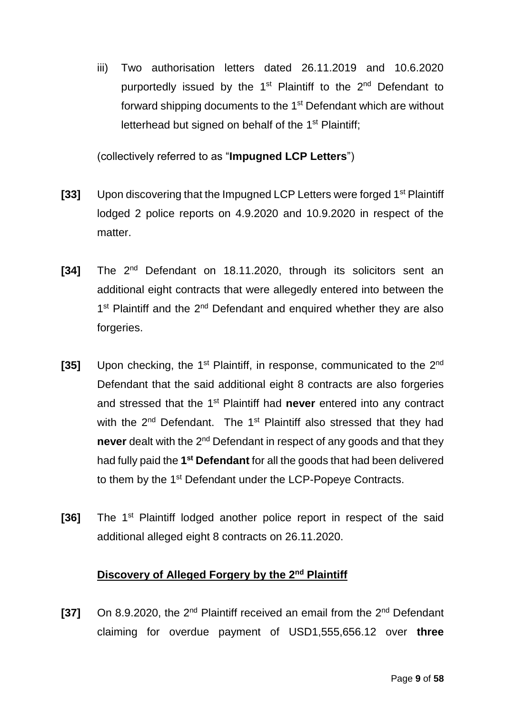iii) Two authorisation letters dated 26.11.2019 and 10.6.2020 purportedly issued by the 1<sup>st</sup> Plaintiff to the 2<sup>nd</sup> Defendant to forward shipping documents to the 1<sup>st</sup> Defendant which are without letterhead but signed on behalf of the 1<sup>st</sup> Plaintiff;

(collectively referred to as "**Impugned LCP Letters**")

- **[33]** Upon discovering that the Impugned LCP Letters were forged 1st Plaintiff lodged 2 police reports on 4.9.2020 and 10.9.2020 in respect of the matter.
- [34] The 2<sup>nd</sup> Defendant on 18.11.2020, through its solicitors sent an additional eight contracts that were allegedly entered into between the 1<sup>st</sup> Plaintiff and the 2<sup>nd</sup> Defendant and enquired whether they are also forgeries.
- [35] Upon checking, the 1<sup>st</sup> Plaintiff, in response, communicated to the 2<sup>nd</sup> Defendant that the said additional eight 8 contracts are also forgeries and stressed that the 1<sup>st</sup> Plaintiff had never entered into any contract with the 2<sup>nd</sup> Defendant. The 1<sup>st</sup> Plaintiff also stressed that they had never dealt with the 2<sup>nd</sup> Defendant in respect of any goods and that they had fully paid the 1<sup>st</sup> Defendant for all the goods that had been delivered to them by the 1<sup>st</sup> Defendant under the LCP-Popeye Contracts.
- [36] The 1<sup>st</sup> Plaintiff lodged another police report in respect of the said additional alleged eight 8 contracts on 26.11.2020.

## **Discovery of Alleged Forgery by the 2nd Plaintiff**

[37] On 8.9.2020, the 2<sup>nd</sup> Plaintiff received an email from the 2<sup>nd</sup> Defendant claiming for overdue payment of USD1,555,656.12 over **three**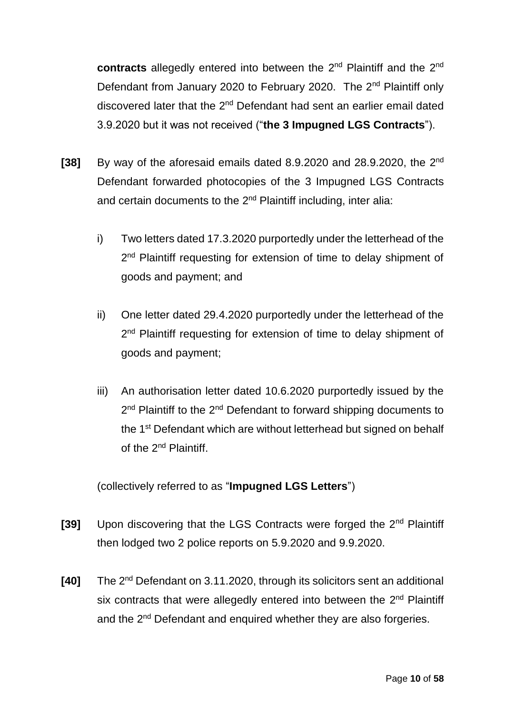contracts allegedly entered into between the 2<sup>nd</sup> Plaintiff and the 2<sup>nd</sup> Defendant from January 2020 to February 2020. The 2<sup>nd</sup> Plaintiff only discovered later that the 2<sup>nd</sup> Defendant had sent an earlier email dated 3.9.2020 but it was not received ("**the 3 Impugned LGS Contracts**").

- [38] By way of the aforesaid emails dated 8.9.2020 and 28.9.2020, the 2<sup>nd</sup> Defendant forwarded photocopies of the 3 Impugned LGS Contracts and certain documents to the 2<sup>nd</sup> Plaintiff including, inter alia:
	- i) Two letters dated 17.3.2020 purportedly under the letterhead of the 2<sup>nd</sup> Plaintiff requesting for extension of time to delay shipment of goods and payment; and
	- ii) One letter dated 29.4.2020 purportedly under the letterhead of the 2<sup>nd</sup> Plaintiff requesting for extension of time to delay shipment of goods and payment;
	- iii) An authorisation letter dated 10.6.2020 purportedly issued by the 2<sup>nd</sup> Plaintiff to the 2<sup>nd</sup> Defendant to forward shipping documents to the 1<sup>st</sup> Defendant which are without letterhead but signed on behalf of the 2<sup>nd</sup> Plaintiff.

(collectively referred to as "**Impugned LGS Letters**")

- **[39]** Upon discovering that the LGS Contracts were forged the 2nd Plaintiff then lodged two 2 police reports on 5.9.2020 and 9.9.2020.
- [40] The 2<sup>nd</sup> Defendant on 3.11.2020, through its solicitors sent an additional six contracts that were allegedly entered into between the 2<sup>nd</sup> Plaintiff and the 2<sup>nd</sup> Defendant and enquired whether they are also forgeries.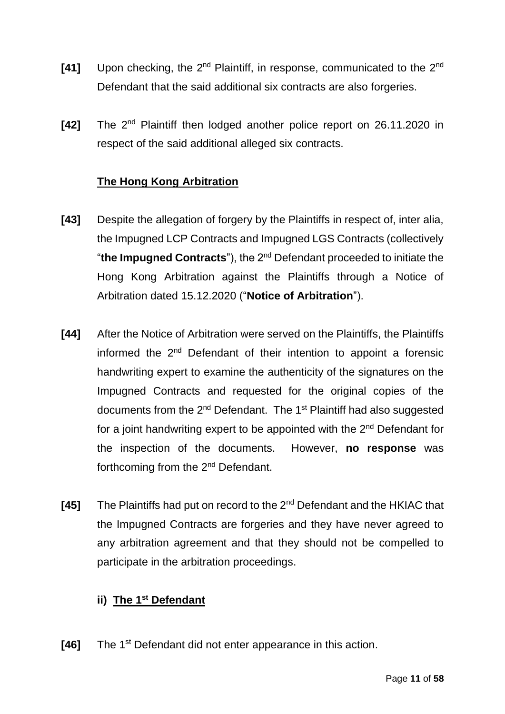- [41] Upon checking, the 2<sup>nd</sup> Plaintiff, in response, communicated to the 2<sup>nd</sup> Defendant that the said additional six contracts are also forgeries.
- [42] The 2<sup>nd</sup> Plaintiff then lodged another police report on 26.11.2020 in respect of the said additional alleged six contracts.

## **The Hong Kong Arbitration**

- **[43]** Despite the allegation of forgery by the Plaintiffs in respect of, inter alia, the Impugned LCP Contracts and Impugned LGS Contracts (collectively "**the Impugned Contracts**"), the 2nd Defendant proceeded to initiate the Hong Kong Arbitration against the Plaintiffs through a Notice of Arbitration dated 15.12.2020 ("**Notice of Arbitration**").
- **[44]** After the Notice of Arbitration were served on the Plaintiffs, the Plaintiffs informed the 2nd Defendant of their intention to appoint a forensic handwriting expert to examine the authenticity of the signatures on the Impugned Contracts and requested for the original copies of the documents from the  $2^{nd}$  Defendant. The 1<sup>st</sup> Plaintiff had also suggested for a joint handwriting expert to be appointed with the 2nd Defendant for the inspection of the documents. However, **no response** was forthcoming from the 2nd Defendant.
- **[45]** The Plaintiffs had put on record to the 2nd Defendant and the HKIAC that the Impugned Contracts are forgeries and they have never agreed to any arbitration agreement and that they should not be compelled to participate in the arbitration proceedings.

## **ii) The 1st Defendant**

**[46]** The 1<sup>st</sup> Defendant did not enter appearance in this action.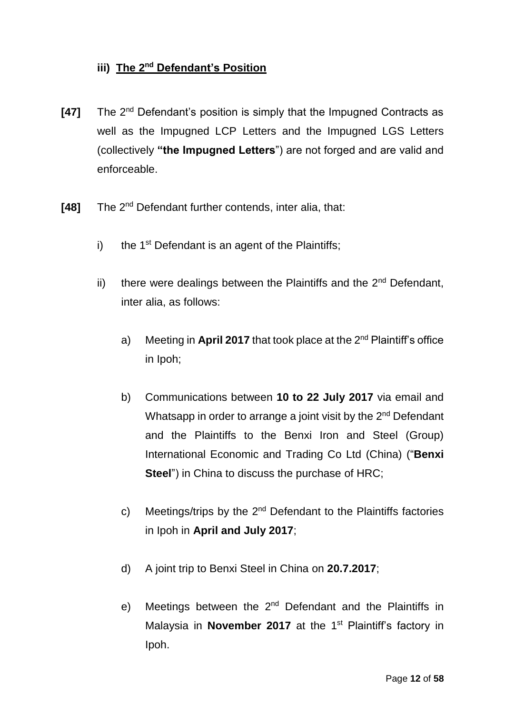## **iii) The 2nd Defendant's Position**

- **[47]** The 2<sup>nd</sup> Defendant's position is simply that the Impugned Contracts as well as the Impugned LCP Letters and the Impugned LGS Letters (collectively **"the Impugned Letters**") are not forged and are valid and enforceable.
- [48] The 2<sup>nd</sup> Defendant further contends, inter alia, that:
	- i) the 1<sup>st</sup> Defendant is an agent of the Plaintiffs;
	- ii) there were dealings between the Plaintiffs and the  $2<sup>nd</sup>$  Defendant, inter alia, as follows:
		- a) Meeting in **April 2017** that took place at the 2nd Plaintiff's office in Ipoh;
		- b) Communications between **10 to 22 July 2017** via email and Whatsapp in order to arrange a joint visit by the 2<sup>nd</sup> Defendant and the Plaintiffs to the Benxi Iron and Steel (Group) International Economic and Trading Co Ltd (China) ("**Benxi Steel**") in China to discuss the purchase of HRC;
		- c) Meetings/trips by the  $2^{nd}$  Defendant to the Plaintiffs factories in Ipoh in **April and July 2017**;
		- d) A joint trip to Benxi Steel in China on **20.7.2017**;
		- e) Meetings between the  $2<sup>nd</sup>$  Defendant and the Plaintiffs in Malaysia in **November 2017** at the 1<sup>st</sup> Plaintiff's factory in Ipoh.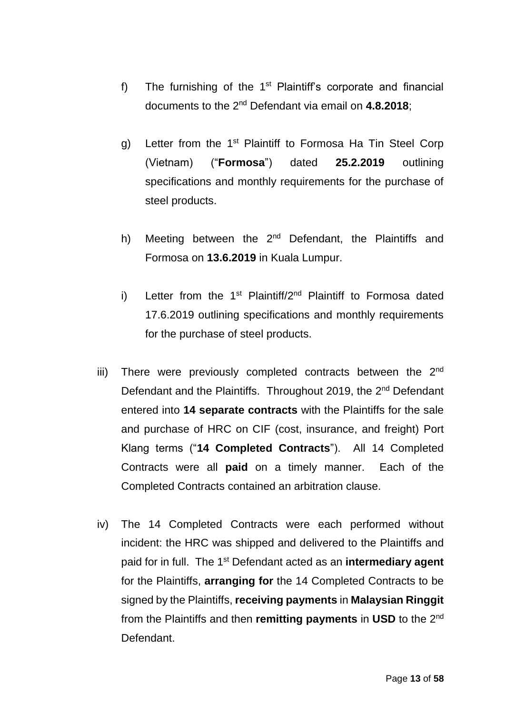- f) The furnishing of the  $1<sup>st</sup>$  Plaintiff's corporate and financial documents to the 2nd Defendant via email on **4.8.2018**;
- g) Letter from the 1<sup>st</sup> Plaintiff to Formosa Ha Tin Steel Corp (Vietnam) ("**Formosa**") dated **25.2.2019** outlining specifications and monthly requirements for the purchase of steel products.
- h) Meeting between the  $2^{nd}$  Defendant, the Plaintiffs and Formosa on **13.6.2019** in Kuala Lumpur.
- i) Letter from the 1<sup>st</sup> Plaintiff/2<sup>nd</sup> Plaintiff to Formosa dated 17.6.2019 outlining specifications and monthly requirements for the purchase of steel products.
- iii) There were previously completed contracts between the  $2<sup>nd</sup>$ Defendant and the Plaintiffs. Throughout 2019, the 2<sup>nd</sup> Defendant entered into **14 separate contracts** with the Plaintiffs for the sale and purchase of HRC on CIF (cost, insurance, and freight) Port Klang terms ("**14 Completed Contracts**"). All 14 Completed Contracts were all **paid** on a timely manner. Each of the Completed Contracts contained an arbitration clause.
- iv) The 14 Completed Contracts were each performed without incident: the HRC was shipped and delivered to the Plaintiffs and paid for in full. The 1st Defendant acted as an **intermediary agent** for the Plaintiffs, **arranging for** the 14 Completed Contracts to be signed by the Plaintiffs, **receiving payments** in **Malaysian Ringgit** from the Plaintiffs and then **remitting payments** in **USD** to the 2nd Defendant.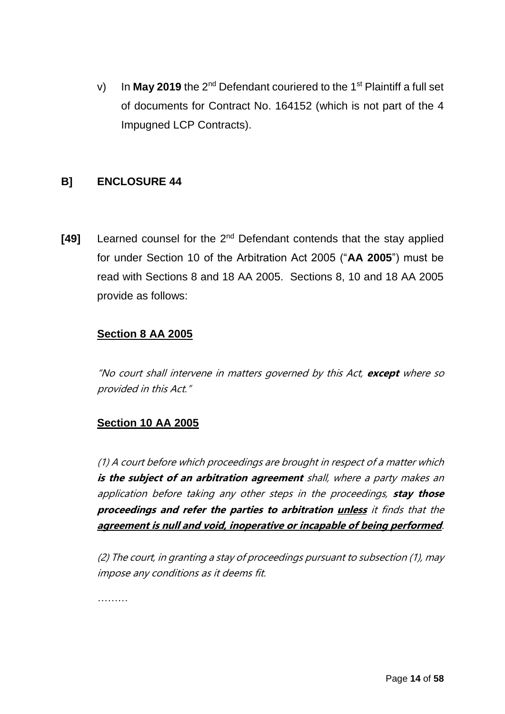v) In **May 2019** the 2<sup>nd</sup> Defendant couriered to the 1<sup>st</sup> Plaintiff a full set of documents for Contract No. 164152 (which is not part of the 4 Impugned LCP Contracts).

## **B] ENCLOSURE 44**

[49] Learned counsel for the 2<sup>nd</sup> Defendant contends that the stay applied for under Section 10 of the Arbitration Act 2005 ("**AA 2005**") must be read with Sections 8 and 18 AA 2005. Sections 8, 10 and 18 AA 2005 provide as follows:

## **Section 8 AA 2005**

"No court shall intervene in matters governed by this Act, **except** where so provided in this Act."

## **Section 10 AA 2005**

(1) A court before which proceedings are brought in respect of a matter which **is the subject of an arbitration agreement** shall, where a party makes an application before taking any other steps in the proceedings, **stay those proceedings and refer the parties to arbitration unless** it finds that the **agreement is null and void, inoperative or incapable of being performed**.

(2) The court, in granting a stay of proceedings pursuant to subsection (1), may impose any conditions as it deems fit.

*………*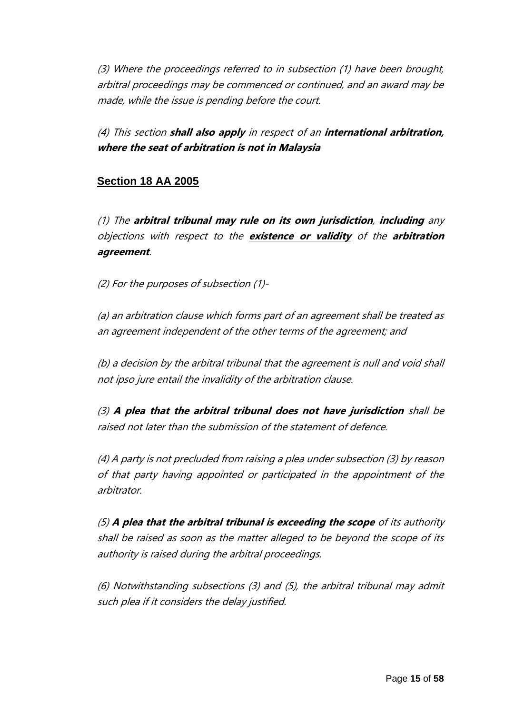(3) Where the proceedings referred to in subsection (1) have been brought, arbitral proceedings may be commenced or continued, and an award may be made, while the issue is pending before the court.

(4) This section **shall also apply** in respect of an **international arbitration, where the seat of arbitration is not in Malaysia**

## **Section 18 AA 2005**

(1) The **arbitral tribunal may rule on its own jurisdiction**, **including** any objections with respect to the **existence or validity** of the **arbitration agreement**.

(2) For the purposes of subsection (1)-

(a) an arbitration clause which forms part of an agreement shall be treated as an agreement independent of the other terms of the agreement; and

(b) a decision by the arbitral tribunal that the agreement is null and void shall not ipso jure entail the invalidity of the arbitration clause.

(3) **A plea that the arbitral tribunal does not have jurisdiction** shall be raised not later than the submission of the statement of defence.

(4) A party is not precluded from raising a plea under subsection (3) by reason of that party having appointed or participated in the appointment of the arbitrator.

(5) **A plea that the arbitral tribunal is exceeding the scope** of its authority shall be raised as soon as the matter alleged to be beyond the scope of its authority is raised during the arbitral proceedings.

(6) Notwithstanding subsections (3) and (5), the arbitral tribunal may admit such plea if it considers the delay justified.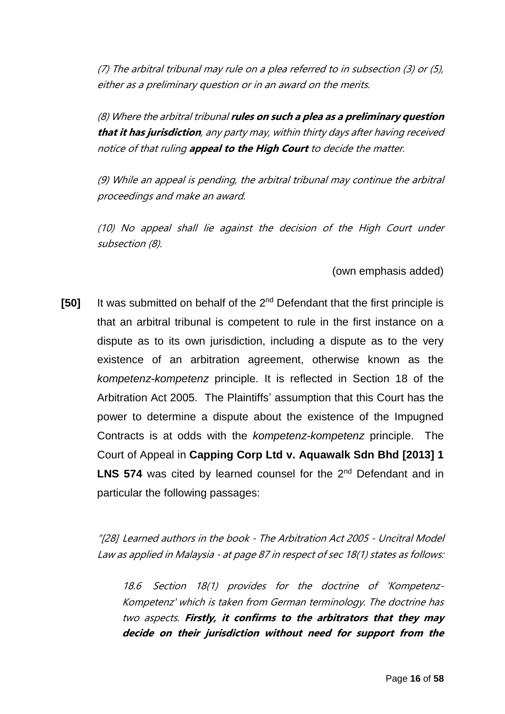(7) The arbitral tribunal may rule on a plea referred to in subsection (3) or (5), either as a preliminary question or in an award on the merits.

(8) Where the arbitral tribunal **rules on such a plea as a preliminary question that it has jurisdiction**, any party may, within thirty days after having received notice of that ruling **appeal to the High Court** to decide the matter.

(9) While an appeal is pending, the arbitral tribunal may continue the arbitral proceedings and make an award.

(10) No appeal shall lie against the decision of the High Court under subsection (8).

### (own emphasis added)

[50] It was submitted on behalf of the 2<sup>nd</sup> Defendant that the first principle is that an arbitral tribunal is competent to rule in the first instance on a dispute as to its own jurisdiction, including a dispute as to the very existence of an arbitration agreement, otherwise known as the *kompetenz-kompetenz* principle. It is reflected in Section 18 of the Arbitration Act 2005. The Plaintiffs' assumption that this Court has the power to determine a dispute about the existence of the Impugned Contracts is at odds with the *kompetenz-kompetenz* principle. The Court of Appeal in **Capping Corp Ltd v. Aquawalk Sdn Bhd [2013] 1**  LNS 574 was cited by learned counsel for the 2<sup>nd</sup> Defendant and in particular the following passages:

"[28] Learned authors in the book - The Arbitration Act 2005 - Uncitral Model Law as applied in Malaysia - at page 87 in respect of sec 18(1) states as follows:

18.6 Section 18(1) provides for the doctrine of 'Kompetenz-Kompetenz' which is taken from German terminology. The doctrine has two aspects. **Firstly, it confirms to the arbitrators that they may decide on their jurisdiction without need for support from the**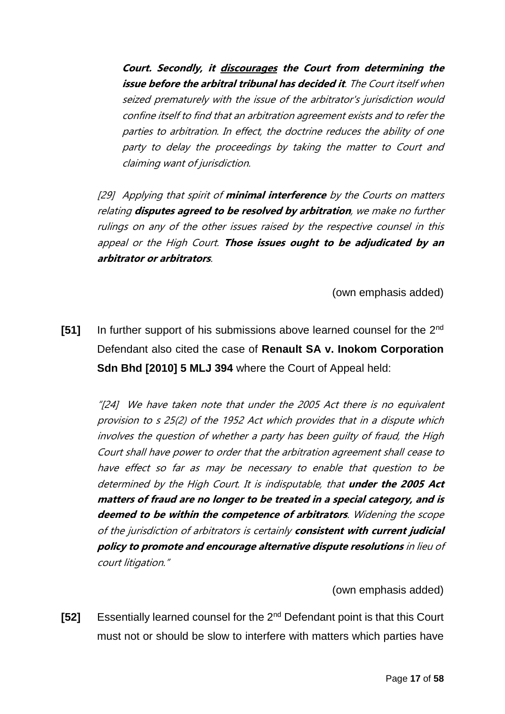**Court. Secondly, it discourages the Court from determining the issue before the arbitral tribunal has decided it**. The Court itself when seized prematurely with the issue of the arbitrator's jurisdiction would confine itself to find that an arbitration agreement exists and to refer the parties to arbitration. In effect, the doctrine reduces the ability of one party to delay the proceedings by taking the matter to Court and claiming want of jurisdiction.

[29] Applying that spirit of **minimal interference** by the Courts on matters relating **disputes agreed to be resolved by arbitration**, we make no further rulings on any of the other issues raised by the respective counsel in this appeal or the High Court. **Those issues ought to be adjudicated by an arbitrator or arbitrators**.

(own emphasis added)

**[51]** In further support of his submissions above learned counsel for the 2nd Defendant also cited the case of **Renault SA v. Inokom Corporation Sdn Bhd [2010] 5 MLJ 394** where the Court of Appeal held:

"[24] We have taken note that under the 2005 Act there is no equivalent provision to s 25(2) of the 1952 Act which provides that in a dispute which involves the question of whether a party has been guilty of fraud, the High Court shall have power to order that the arbitration agreement shall cease to have effect so far as may be necessary to enable that question to be determined by the High Court. It is indisputable, that **under the 2005 Act matters of fraud are no longer to be treated in a special category, and is deemed to be within the competence of arbitrators**. Widening the scope of the jurisdiction of arbitrators is certainly **consistent with current judicial policy to promote and encourage alternative dispute resolutions** in lieu of court litigation."

(own emphasis added)

**[52]** Essentially learned counsel for the 2nd Defendant point is that this Court must not or should be slow to interfere with matters which parties have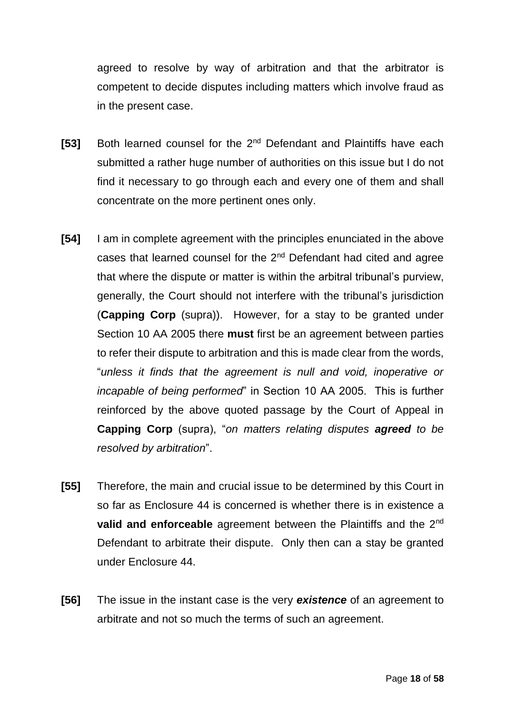agreed to resolve by way of arbitration and that the arbitrator is competent to decide disputes including matters which involve fraud as in the present case.

- **[53]** Both learned counsel for the 2<sup>nd</sup> Defendant and Plaintiffs have each submitted a rather huge number of authorities on this issue but I do not find it necessary to go through each and every one of them and shall concentrate on the more pertinent ones only.
- **[54]** I am in complete agreement with the principles enunciated in the above cases that learned counsel for the  $2<sup>nd</sup>$  Defendant had cited and agree that where the dispute or matter is within the arbitral tribunal's purview, generally, the Court should not interfere with the tribunal's jurisdiction (**Capping Corp** (supra)). However, for a stay to be granted under Section 10 AA 2005 there **must** first be an agreement between parties to refer their dispute to arbitration and this is made clear from the words, "*unless it finds that the agreement is null and void, inoperative or incapable of being performed*" in Section 10 AA 2005. This is further reinforced by the above quoted passage by the Court of Appeal in **Capping Corp** (supra), "*on matters relating disputes agreed to be resolved by arbitration*".
- **[55]** Therefore, the main and crucial issue to be determined by this Court in so far as Enclosure 44 is concerned is whether there is in existence a **valid and enforceable** agreement between the Plaintiffs and the 2<sup>nd</sup> Defendant to arbitrate their dispute. Only then can a stay be granted under Enclosure 44.
- **[56]** The issue in the instant case is the very *existence* of an agreement to arbitrate and not so much the terms of such an agreement.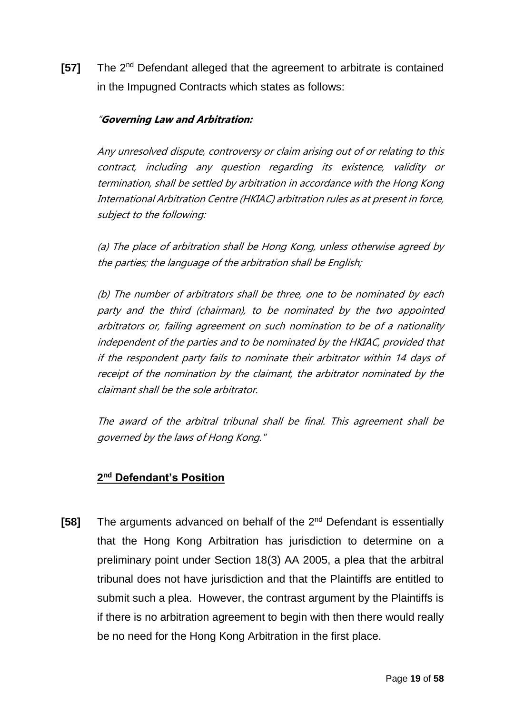**[57]** The 2nd Defendant alleged that the agreement to arbitrate is contained in the Impugned Contracts which states as follows:

### "**Governing Law and Arbitration:**

Any unresolved dispute, controversy or claim arising out of or relating to this contract, including any question regarding its existence, validity or termination, shall be settled by arbitration in accordance with the Hong Kong International Arbitration Centre (HKIAC) arbitration rules as at present in force, subject to the following:

(a) The place of arbitration shall be Hong Kong, unless otherwise agreed by the parties; the language of the arbitration shall be English;

(b) The number of arbitrators shall be three, one to be nominated by each party and the third (chairman), to be nominated by the two appointed arbitrators or, failing agreement on such nomination to be of a nationality independent of the parties and to be nominated by the HKIAC, provided that if the respondent party fails to nominate their arbitrator within 14 days of receipt of the nomination by the claimant, the arbitrator nominated by the claimant shall be the sole arbitrator.

The award of the arbitral tribunal shall be final. This agreement shall be governed by the laws of Hong Kong."

### **2 nd Defendant's Position**

**[58]** The arguments advanced on behalf of the 2<sup>nd</sup> Defendant is essentially that the Hong Kong Arbitration has jurisdiction to determine on a preliminary point under Section 18(3) AA 2005, a plea that the arbitral tribunal does not have jurisdiction and that the Plaintiffs are entitled to submit such a plea. However, the contrast argument by the Plaintiffs is if there is no arbitration agreement to begin with then there would really be no need for the Hong Kong Arbitration in the first place.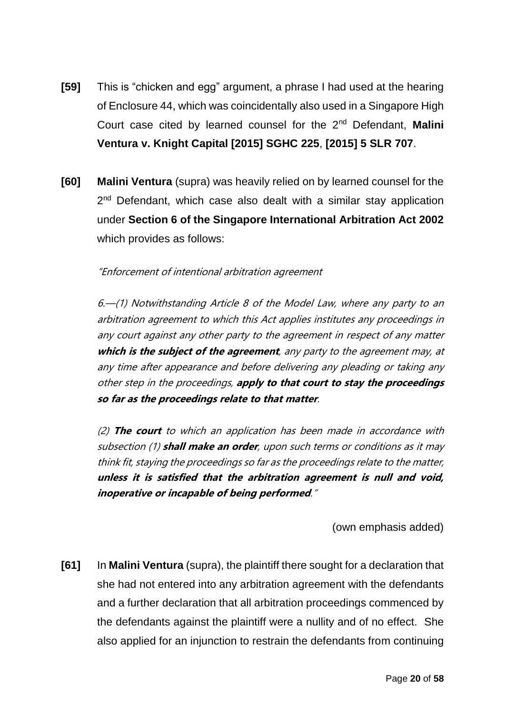- **[59]** This is "chicken and egg" argument, a phrase I had used at the hearing of Enclosure 44, which was coincidentally also used in a Singapore High Court case cited by learned counsel for the 2nd Defendant, **Malini Ventura v. Knight Capital [2015] SGHC 225**, **[2015] 5 SLR 707**.
- **[60] Malini Ventura** (supra) was heavily relied on by learned counsel for the 2<sup>nd</sup> Defendant, which case also dealt with a similar stay application under **Section 6 of the Singapore International Arbitration Act 2002** which provides as follows:

#### "Enforcement of intentional arbitration agreement

6.—(1) Notwithstanding Article 8 of the Model Law, where any party to an arbitration agreement to which this Act applies institutes any proceedings in any court against any other party to the agreement in respect of any matter **which is the subject of the agreement**, any party to the agreement may, at any time after appearance and before delivering any pleading or taking any other step in the proceedings, **apply to that court to stay the proceedings so far as the proceedings relate to that matter**.

(2) **The court** to which an application has been made in accordance with subsection (1) **shall make an order**, upon such terms or conditions as it may think fit, staying the proceedings so far as the proceedings relate to the matter, **unless it is satisfied that the arbitration agreement is null and void, inoperative or incapable of being performed**."

(own emphasis added)

**[61]** In **Malini Ventura** (supra), the plaintiff there sought for a declaration that she had not entered into any arbitration agreement with the defendants and a further declaration that all arbitration proceedings commenced by the defendants against the plaintiff were a nullity and of no effect. She also applied for an injunction to restrain the defendants from continuing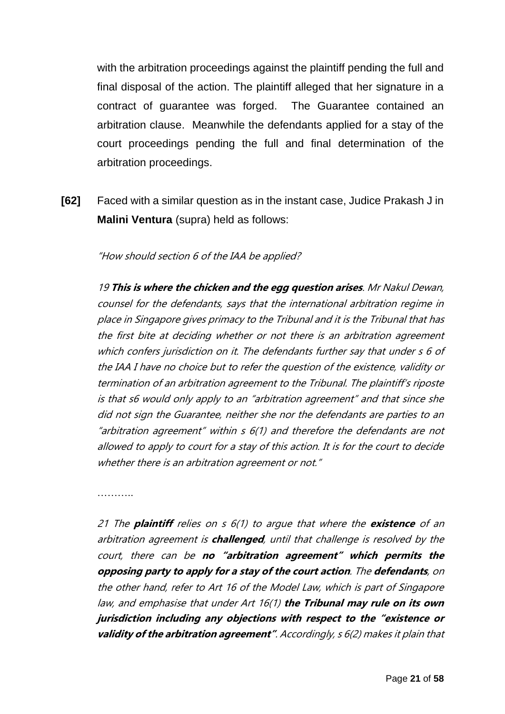with the arbitration proceedings against the plaintiff pending the full and final disposal of the action. The plaintiff alleged that her signature in a contract of guarantee was forged. The Guarantee contained an arbitration clause. Meanwhile the defendants applied for a stay of the court proceedings pending the full and final determination of the arbitration proceedings.

**[62]** Faced with a similar question as in the instant case, Judice Prakash J in **Malini Ventura** (supra) held as follows:

"How should section 6 of the IAA be applied?

19 **This is where the chicken and the egg question arises**. Mr Nakul Dewan, counsel for the defendants, says that the international arbitration regime in place in Singapore gives primacy to the Tribunal and it is the Tribunal that has the first bite at deciding whether or not there is an arbitration agreement which confers jurisdiction on it. The defendants further say that under s 6 of the IAA I have no choice but to refer the question of the existence, validity or termination of an arbitration agreement to the Tribunal. The plaintiff's riposte is that s6 would only apply to an "arbitration agreement" and that since she did not sign the Guarantee, neither she nor the defendants are parties to an "arbitration agreement" within  $s$  6(1) and therefore the defendants are not allowed to apply to court for a stay of this action. It is for the court to decide whether there is an arbitration agreement or not."

………

21 The **plaintiff** relies on s 6(1) to argue that where the **existence** of an arbitration agreement is **challenged**, until that challenge is resolved by the court, there can be **no "arbitration agreement" which permits the opposing party to apply for a stay of the court action**. The **defendants**, on the other hand, refer to Art 16 of the Model Law, which is part of Singapore law, and emphasise that under Art 16(1) **the Tribunal may rule on its own jurisdiction including any objections with respect to the "existence or validity of the arbitration agreement"**. Accordingly, s 6(2) makes it plain that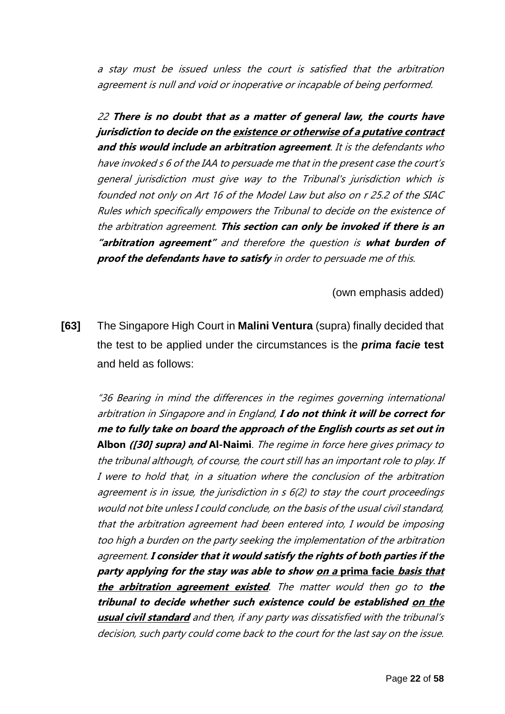a stay must be issued unless the court is satisfied that the arbitration agreement is null and void or inoperative or incapable of being performed.

22 **There is no doubt that as a matter of general law, the courts have jurisdiction to decide on the existence or otherwise of a putative contract and this would include an arbitration agreement**. It is the defendants who have invoked s 6 of the IAA to persuade me that in the present case the court's general jurisdiction must give way to the Tribunal's jurisdiction which is founded not only on Art 16 of the Model Law but also on r 25.2 of the SIAC Rules which specifically empowers the Tribunal to decide on the existence of the arbitration agreement. **This section can only be invoked if there is an "arbitration agreement"** and therefore the question is **what burden of proof the defendants have to satisfy** in order to persuade me of this.

(own emphasis added)

**[63]** The Singapore High Court in **Malini Ventura** (supra) finally decided that the test to be applied under the circumstances is the *prima facie* **test** and held as follows:

"36 Bearing in mind the differences in the regimes governing international arbitration in Singapore and in England, **I do not think it will be correct for me to fully take on board the approach of the English courts as set out in Albon ([30] supra) and Al-Naimi**. The regime in force here gives primacy to the tribunal although, of course, the court still has an important role to play. If I were to hold that, in a situation where the conclusion of the arbitration agreement is in issue, the jurisdiction in s 6(2) to stay the court proceedings would not bite unless I could conclude, on the basis of the usual civil standard, that the arbitration agreement had been entered into, I would be imposing too high a burden on the party seeking the implementation of the arbitration agreement. **I consider that it would satisfy the rights of both parties if the party applying for the stay was able to show on a prima facie basis that the arbitration agreement existed**. The matter would then go to **the tribunal to decide whether such existence could be established on the usual civil standard** and then, if any party was dissatisfied with the tribunal's decision, such party could come back to the court for the last say on the issue.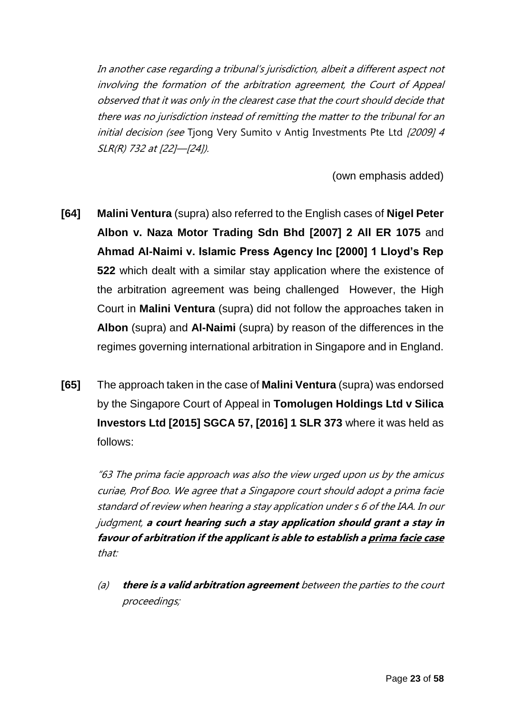In another case regarding a tribunal's jurisdiction, albeit a different aspect not involving the formation of the arbitration agreement, the Court of Appeal observed that it was only in the clearest case that the court should decide that there was no jurisdiction instead of remitting the matter to the tribunal for an initial decision (see Tjong Very Sumito v Antig Investments Pte Ltd [2009] 4 SLR(R) 732 at [22]—[24]).

(own emphasis added)

- **[64] Malini Ventura** (supra) also referred to the English cases of **Nigel Peter Albon v. Naza Motor Trading Sdn Bhd [2007] 2 All ER 1075** and **Ahmad Al-Naimi v. Islamic Press Agency Inc [2000] 1 Lloyd's Rep 522** which dealt with a similar stay application where the existence of the arbitration agreement was being challenged However, the High Court in **Malini Ventura** (supra) did not follow the approaches taken in **Albon** (supra) and **Al-Naimi** (supra) by reason of the differences in the regimes governing international arbitration in Singapore and in England.
- **[65]** The approach taken in the case of **Malini Ventura** (supra) was endorsed by the Singapore Court of Appeal in **Tomolugen Holdings Ltd v Silica Investors Ltd [2015] SGCA 57, [2016] 1 SLR 373** where it was held as follows:

"63 The prima facie approach was also the view urged upon us by the amicus curiae, Prof Boo. We agree that a Singapore court should adopt a prima facie standard of review when hearing a stay application under s 6 of the IAA. In our judgment, **a court hearing such a stay application should grant a stay in favour of arbitration if the applicant is able to establish a prima facie case** that:

(a) **there is a valid arbitration agreement** between the parties to the court proceedings;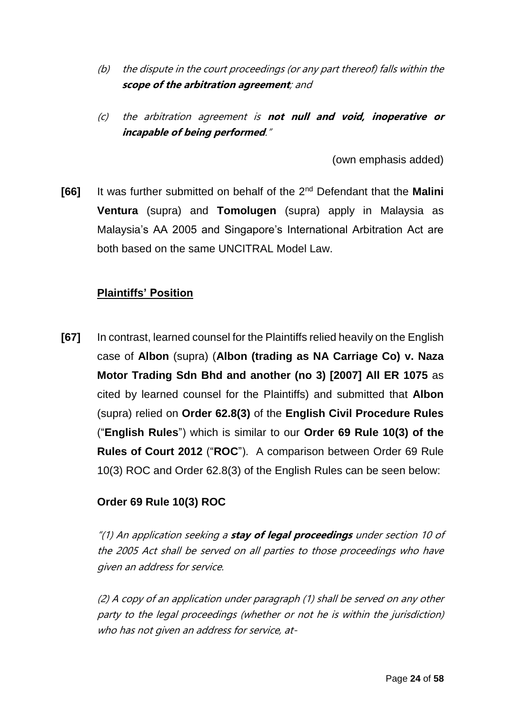- (b) the dispute in the court proceedings (or any part thereof) falls within the **scope of the arbitration agreement**; and
- (c) the arbitration agreement is **not null and void, inoperative or incapable of being performed**."

(own emphasis added)

**[66]** It was further submitted on behalf of the 2nd Defendant that the **Malini Ventura** (supra) and **Tomolugen** (supra) apply in Malaysia as Malaysia's AA 2005 and Singapore's International Arbitration Act are both based on the same UNCITRAL Model Law.

## **Plaintiffs' Position**

**[67]** In contrast, learned counsel for the Plaintiffs relied heavily on the English case of **Albon** (supra) (**Albon (trading as NA Carriage Co) v. Naza Motor Trading Sdn Bhd and another (no 3) [2007] All ER 1075** as cited by learned counsel for the Plaintiffs) and submitted that **Albon** (supra) relied on **Order 62.8(3)** of the **English Civil Procedure Rules** ("**English Rules**") which is similar to our **Order 69 Rule 10(3) of the Rules of Court 2012** ("**ROC**"). A comparison between Order 69 Rule 10(3) ROC and Order 62.8(3) of the English Rules can be seen below:

## **Order 69 Rule 10(3) ROC**

"(1) An application seeking a **stay of legal proceedings** under section 10 of the 2005 Act shall be served on all parties to those proceedings who have given an address for service.

(2) A copy of an application under paragraph (1) shall be served on any other party to the legal proceedings (whether or not he is within the jurisdiction) who has not given an address for service, at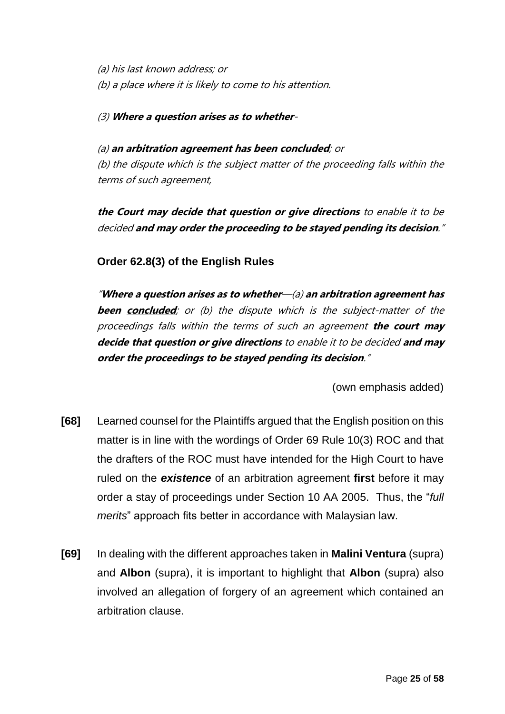(a) his last known address; or (b) a place where it is likely to come to his attention.

(3) **Where a question arises as to whether**-

(a) **an arbitration agreement has been concluded**; or (b) the dispute which is the subject matter of the proceeding falls within the terms of such agreement,

**the Court may decide that question or give directions** to enable it to be decided **and may order the proceeding to be stayed pending its decision**."

**Order 62.8(3) of the English Rules**

"**Where a question arises as to whether**—(a) **an arbitration agreement has been concluded**; or (b) the dispute which is the subject-matter of the proceedings falls within the terms of such an agreement **the court may decide that question or give directions** to enable it to be decided **and may order the proceedings to be stayed pending its decision**."

(own emphasis added)

- **[68]** Learned counsel for the Plaintiffs argued that the English position on this matter is in line with the wordings of Order 69 Rule 10(3) ROC and that the drafters of the ROC must have intended for the High Court to have ruled on the *existence* of an arbitration agreement **first** before it may order a stay of proceedings under Section 10 AA 2005. Thus, the "*full merits*" approach fits better in accordance with Malaysian law.
- **[69]** In dealing with the different approaches taken in **Malini Ventura** (supra) and **Albon** (supra), it is important to highlight that **Albon** (supra) also involved an allegation of forgery of an agreement which contained an arbitration clause.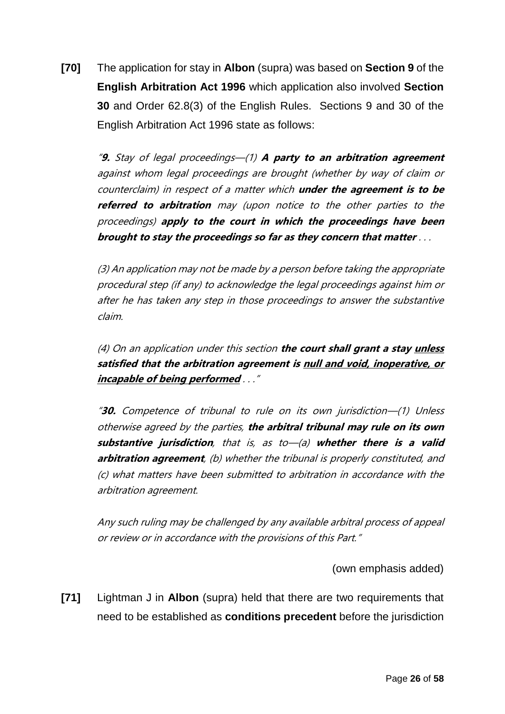**[70]** The application for stay in **Albon** (supra) was based on **Section 9** of the **English Arbitration Act 1996** which application also involved **Section 30** and Order 62.8(3) of the English Rules. Sections 9 and 30 of the English Arbitration Act 1996 state as follows:

"**9.** Stay of legal proceedings—(1) **A party to an arbitration agreement** against whom legal proceedings are brought (whether by way of claim or counterclaim) in respect of a matter which **under the agreement is to be referred to arbitration** may (upon notice to the other parties to the proceedings) **apply to the court in which the proceedings have been brought to stay the proceedings so far as they concern that matter** . . .

(3) An application may not be made by a person before taking the appropriate procedural step (if any) to acknowledge the legal proceedings against him or after he has taken any step in those proceedings to answer the substantive claim.

(4) On an application under this section **the court shall grant a stay unless satisfied that the arbitration agreement is null and void, inoperative, or incapable of being performed** . . ."

"**30.** Competence of tribunal to rule on its own jurisdiction—(1) Unless otherwise agreed by the parties, **the arbitral tribunal may rule on its own substantive jurisdiction**, that is, as to—(a) **whether there is a valid arbitration agreement**, (b) whether the tribunal is properly constituted, and (c) what matters have been submitted to arbitration in accordance with the arbitration agreement.

Any such ruling may be challenged by any available arbitral process of appeal or review or in accordance with the provisions of this Part."

(own emphasis added)

**[71]** Lightman J in **Albon** (supra) held that there are two requirements that need to be established as **conditions precedent** before the jurisdiction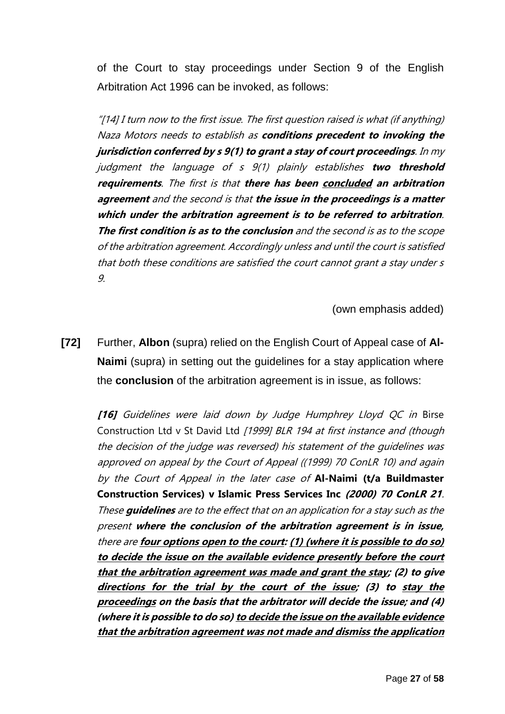of the Court to stay proceedings under Section 9 of the English Arbitration Act 1996 can be invoked, as follows:

"[14] I turn now to the first issue. The first question raised is what (if anything) Naza Motors needs to establish as **conditions precedent to invoking the jurisdiction conferred by s 9(1) to grant a stay of court proceedings**. In my judgment the language of s 9(1) plainly establishes **two threshold requirements**. The first is that **there has been concluded an arbitration agreement** and the second is that **the issue in the proceedings is a matter which under the arbitration agreement is to be referred to arbitration**. **The first condition is as to the conclusion** and the second is as to the scope of the arbitration agreement. Accordingly unless and until the court is satisfied that both these conditions are satisfied the court cannot grant a stay under s 9.

(own emphasis added)

**[72]** Further, **Albon** (supra) relied on the English Court of Appeal case of **Al-Naimi** (supra) in setting out the guidelines for a stay application where the **conclusion** of the arbitration agreement is in issue, as follows:

**[16]** Guidelines were laid down by Judge Humphrey Lloyd QC in Birse Construction Ltd v St David Ltd [1999] BLR 194 at first instance and (though the decision of the judge was reversed) his statement of the guidelines was approved on appeal by the Court of Appeal ((1999) 70 ConLR 10) and again by the Court of Appeal in the later case of **Al-Naimi (t/a Buildmaster Construction Services) v Islamic Press Services Inc (2000) 70 ConLR 21**. These **guidelines** are to the effect that on an application for a stay such as the present **where the conclusion of the arbitration agreement is in issue,**  there are **four options open to the court: (1) (where it is possible to do so) to decide the issue on the available evidence presently before the court that the arbitration agreement was made and grant the stay; (2) to give directions for the trial by the court of the issue; (3) to stay the proceedings on the basis that the arbitrator will decide the issue; and (4) (where it is possible to do so) to decide the issue on the available evidence that the arbitration agreement was not made and dismiss the application**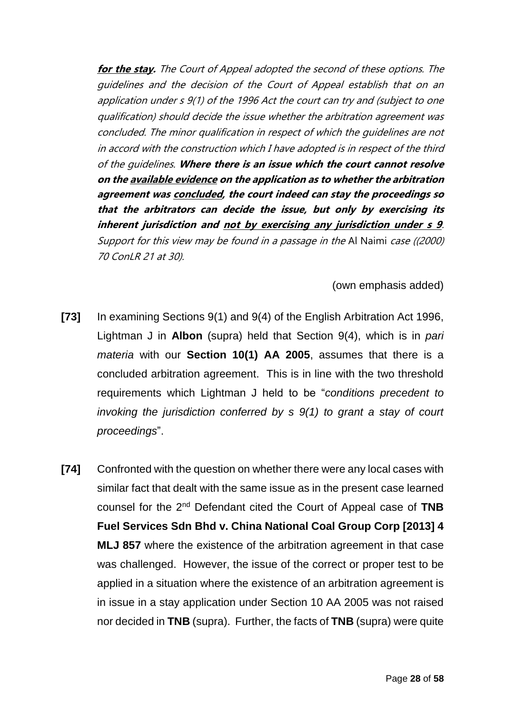**for the stay.** The Court of Appeal adopted the second of these options. The guidelines and the decision of the Court of Appeal establish that on an application under s 9(1) of the 1996 Act the court can try and (subject to one qualification) should decide the issue whether the arbitration agreement was concluded. The minor qualification in respect of which the guidelines are not in accord with the construction which I have adopted is in respect of the third of the guidelines. **Where there is an issue which the court cannot resolve on the available evidence on the application as to whether the arbitration agreement was concluded, the court indeed can stay the proceedings so that the arbitrators can decide the issue, but only by exercising its inherent jurisdiction and not by exercising any jurisdiction under s 9**. Support for this view may be found in a passage in the Al Naimi case ((2000) 70 ConLR 21 at 30).

### (own emphasis added)

- **[73]** In examining Sections 9(1) and 9(4) of the English Arbitration Act 1996, Lightman J in **Albon** (supra) held that Section 9(4), which is in *pari materia* with our **Section 10(1) AA 2005**, assumes that there is a concluded arbitration agreement. This is in line with the two threshold requirements which Lightman J held to be "*conditions precedent to invoking the jurisdiction conferred by s 9(1) to grant a stay of court proceedings*".
- **[74]** Confronted with the question on whether there were any local cases with similar fact that dealt with the same issue as in the present case learned counsel for the 2nd Defendant cited the Court of Appeal case of **TNB Fuel Services Sdn Bhd v. China National Coal Group Corp [2013] 4 MLJ 857** where the existence of the arbitration agreement in that case was challenged. However, the issue of the correct or proper test to be applied in a situation where the existence of an arbitration agreement is in issue in a stay application under Section 10 AA 2005 was not raised nor decided in **TNB** (supra). Further, the facts of **TNB** (supra) were quite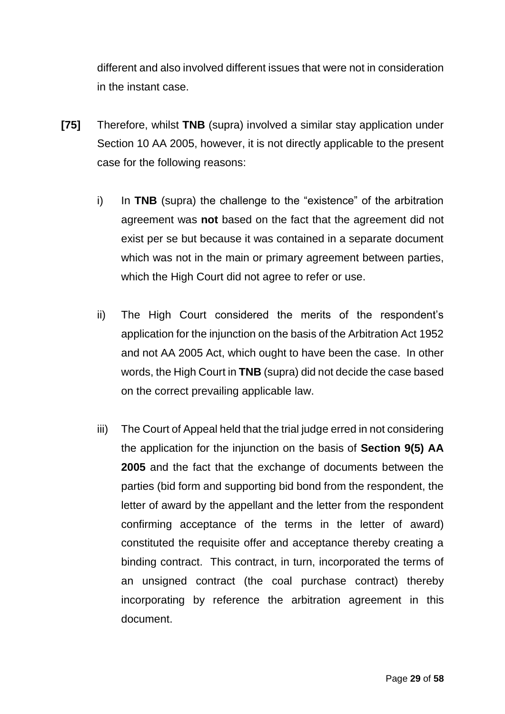different and also involved different issues that were not in consideration in the instant case.

- **[75]** Therefore, whilst **TNB** (supra) involved a similar stay application under Section 10 AA 2005, however, it is not directly applicable to the present case for the following reasons:
	- i) In **TNB** (supra) the challenge to the "existence" of the arbitration agreement was **not** based on the fact that the agreement did not exist per se but because it was contained in a separate document which was not in the main or primary agreement between parties, which the High Court did not agree to refer or use.
	- ii) The High Court considered the merits of the respondent's application for the injunction on the basis of the Arbitration Act 1952 and not AA 2005 Act, which ought to have been the case. In other words, the High Court in **TNB** (supra) did not decide the case based on the correct prevailing applicable law.
	- iii) The Court of Appeal held that the trial judge erred in not considering the application for the injunction on the basis of **Section 9(5) AA 2005** and the fact that the exchange of documents between the parties (bid form and supporting bid bond from the respondent, the letter of award by the appellant and the letter from the respondent confirming acceptance of the terms in the letter of award) constituted the requisite offer and acceptance thereby creating a binding contract. This contract, in turn, incorporated the terms of an unsigned contract (the coal purchase contract) thereby incorporating by reference the arbitration agreement in this document.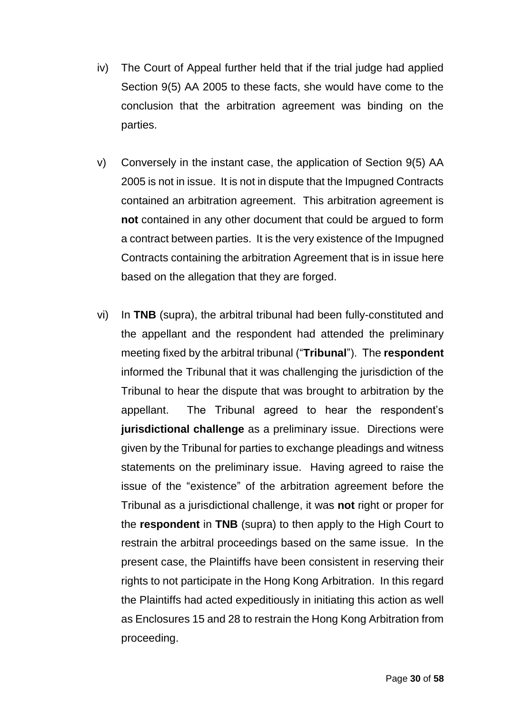- iv) The Court of Appeal further held that if the trial judge had applied Section 9(5) AA 2005 to these facts, she would have come to the conclusion that the arbitration agreement was binding on the parties.
- v) Conversely in the instant case, the application of Section 9(5) AA 2005 is not in issue. It is not in dispute that the Impugned Contracts contained an arbitration agreement. This arbitration agreement is **not** contained in any other document that could be argued to form a contract between parties. It is the very existence of the Impugned Contracts containing the arbitration Agreement that is in issue here based on the allegation that they are forged.
- vi) In **TNB** (supra), the arbitral tribunal had been fully-constituted and the appellant and the respondent had attended the preliminary meeting fixed by the arbitral tribunal ("**Tribunal**"). The **respondent** informed the Tribunal that it was challenging the jurisdiction of the Tribunal to hear the dispute that was brought to arbitration by the appellant. The Tribunal agreed to hear the respondent's **jurisdictional challenge** as a preliminary issue. Directions were given by the Tribunal for parties to exchange pleadings and witness statements on the preliminary issue. Having agreed to raise the issue of the "existence" of the arbitration agreement before the Tribunal as a jurisdictional challenge, it was **not** right or proper for the **respondent** in **TNB** (supra) to then apply to the High Court to restrain the arbitral proceedings based on the same issue. In the present case, the Plaintiffs have been consistent in reserving their rights to not participate in the Hong Kong Arbitration. In this regard the Plaintiffs had acted expeditiously in initiating this action as well as Enclosures 15 and 28 to restrain the Hong Kong Arbitration from proceeding.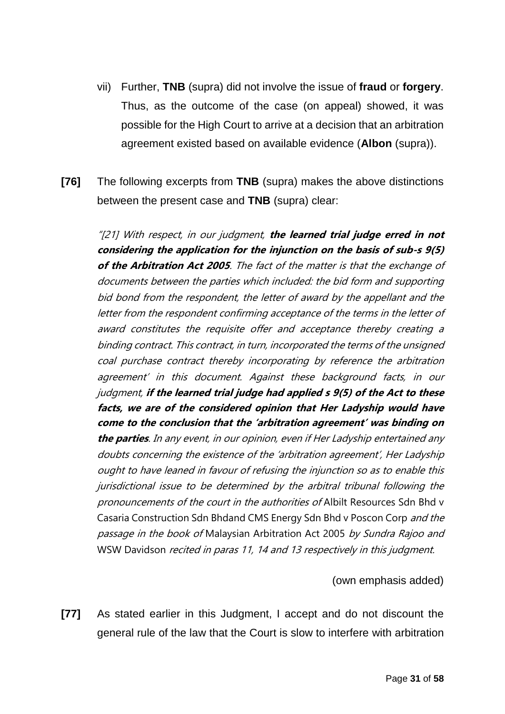- vii) Further, **TNB** (supra) did not involve the issue of **fraud** or **forgery**. Thus, as the outcome of the case (on appeal) showed, it was possible for the High Court to arrive at a decision that an arbitration agreement existed based on available evidence (**Albon** (supra)).
- **[76]** The following excerpts from **TNB** (supra) makes the above distinctions between the present case and **TNB** (supra) clear:

"[21] With respect, in our judgment, **the learned trial judge erred in not considering the application for the injunction on the basis of sub-s 9(5) of the Arbitration Act 2005**. The fact of the matter is that the exchange of documents between the parties which included: the bid form and supporting bid bond from the respondent, the letter of award by the appellant and the letter from the respondent confirming acceptance of the terms in the letter of award constitutes the requisite offer and acceptance thereby creating a binding contract. This contract, in turn, incorporated the terms of the unsigned coal purchase contract thereby incorporating by reference the arbitration agreement' in this document. Against these background facts, in our judgment, **if the learned trial judge had applied s 9(5) of the Act to these facts, we are of the considered opinion that Her Ladyship would have come to the conclusion that the 'arbitration agreement' was binding on the parties**. In any event, in our opinion, even if Her Ladyship entertained any doubts concerning the existence of the 'arbitration agreement', Her Ladyship ought to have leaned in favour of refusing the injunction so as to enable this jurisdictional issue to be determined by the arbitral tribunal following the pronouncements of the court in the authorities of Albilt Resources Sdn Bhd v Casaria Construction Sdn Bhdand CMS Energy Sdn Bhd v Poscon Corp and the passage in the book of Malaysian Arbitration Act 2005 by Sundra Rajoo and WSW Davidson recited in paras 11, 14 and 13 respectively in this judgment.

(own emphasis added)

**[77]** As stated earlier in this Judgment, I accept and do not discount the general rule of the law that the Court is slow to interfere with arbitration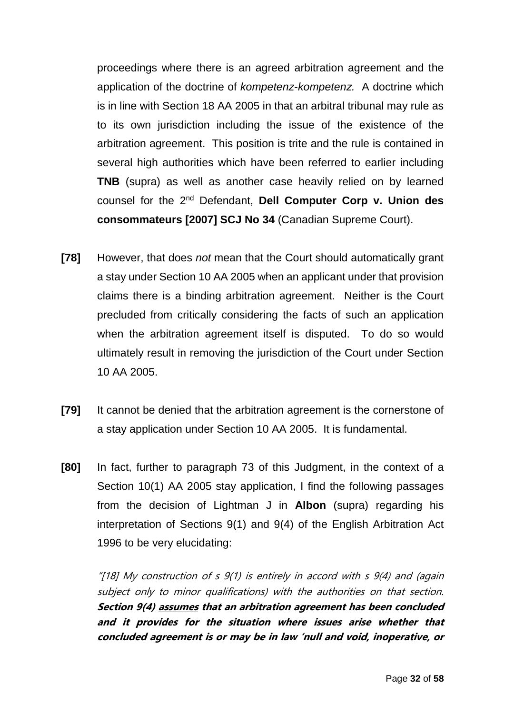proceedings where there is an agreed arbitration agreement and the application of the doctrine of *kompetenz-kompetenz.* A doctrine which is in line with Section 18 AA 2005 in that an arbitral tribunal may rule as to its own jurisdiction including the issue of the existence of the arbitration agreement. This position is trite and the rule is contained in several high authorities which have been referred to earlier including **TNB** (supra) as well as another case heavily relied on by learned counsel for the 2nd Defendant, **Dell Computer Corp v. Union des consommateurs [2007] SCJ No 34** (Canadian Supreme Court).

- **[78]** However, that does *not* mean that the Court should automatically grant a stay under Section 10 AA 2005 when an applicant under that provision claims there is a binding arbitration agreement. Neither is the Court precluded from critically considering the facts of such an application when the arbitration agreement itself is disputed. To do so would ultimately result in removing the jurisdiction of the Court under Section 10 AA 2005.
- **[79]** It cannot be denied that the arbitration agreement is the cornerstone of a stay application under Section 10 AA 2005. It is fundamental.
- **[80]** In fact, further to paragraph 73 of this Judgment, in the context of a Section 10(1) AA 2005 stay application, I find the following passages from the decision of Lightman J in **Albon** (supra) regarding his interpretation of Sections 9(1) and 9(4) of the English Arbitration Act 1996 to be very elucidating:

"[18] My construction of  $s$  9(1) is entirely in accord with  $s$  9(4) and (again subject only to minor qualifications) with the authorities on that section. **Section 9(4) assumes that an arbitration agreement has been concluded and it provides for the situation where issues arise whether that concluded agreement is or may be in law 'null and void, inoperative, or**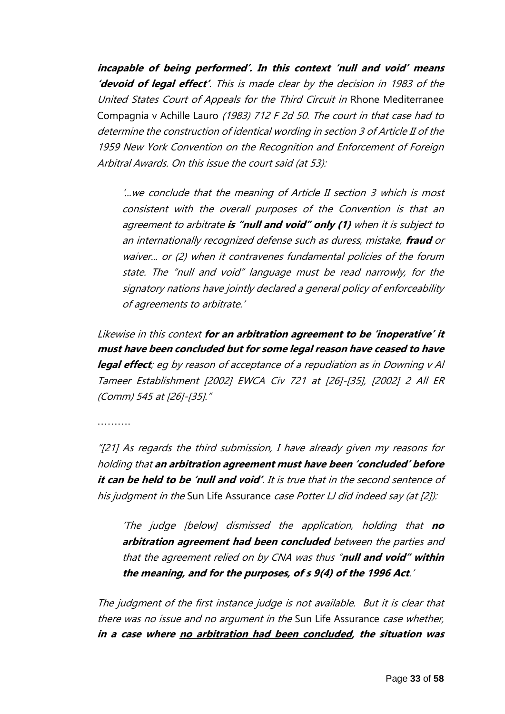**incapable of being performed'. In this context 'null and void' means 'devoid of legal effect'**. This is made clear by the decision in 1983 of the United States Court of Appeals for the Third Circuit in Rhone Mediterranee Compagnia v Achille Lauro (1983) 712 F 2d 50. The court in that case had to determine the construction of identical wording in section 3 of Article II of the 1959 New York Convention on the Recognition and Enforcement of Foreign Arbitral Awards. On this issue the court said (at 53):

'...we conclude that the meaning of Article II section 3 which is most consistent with the overall purposes of the Convention is that an agreement to arbitrate **is "null and void" only (1)** when it is subject to an internationally recognized defense such as duress, mistake, **fraud** or waiver... or (2) when it contravenes fundamental policies of the forum state. The "null and void" language must be read narrowly, for the signatory nations have jointly declared a general policy of enforceability of agreements to arbitrate.'

Likewise in this context **for an arbitration agreement to be 'inoperative' it must have been concluded but for some legal reason have ceased to have legal effect**; eg by reason of acceptance of a repudiation as in Downing v Al Tameer Establishment [2002] EWCA Civ 721 at [26]-[35], [2002] 2 All ER (Comm) 545 at [26]-[35]."

……….

"[21] As regards the third submission, I have already given my reasons for holding that **an arbitration agreement must have been 'concluded' before it can be held to be 'null and void'**. It is true that in the second sentence of his judgment in the Sun Life Assurance case Potter LJ did indeed say (at [2]):

'The judge [below] dismissed the application, holding that **no arbitration agreement had been concluded** between the parties and that the agreement relied on by CNA was thus "**null and void" within the meaning, and for the purposes, of s 9(4) of the 1996 Act**.'

The judgment of the first instance judge is not available. But it is clear that there was no issue and no argument in the Sun Life Assurance case whether, **in a case where no arbitration had been concluded, the situation was**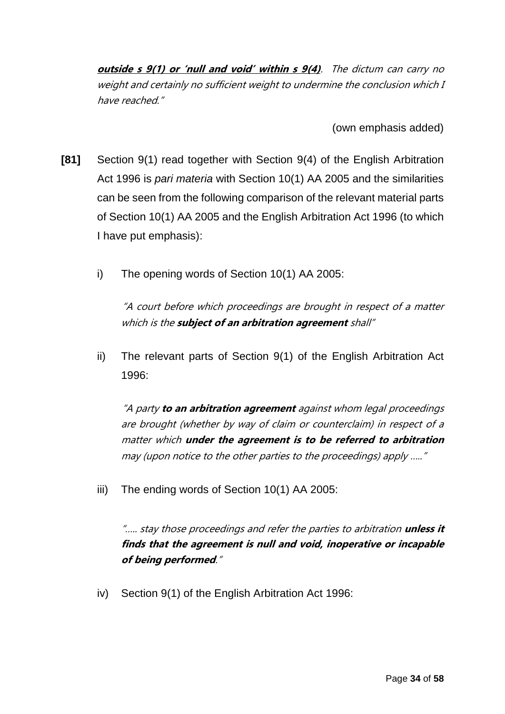**outside s 9(1) or 'null and void' within s 9(4)**. The dictum can carry no weight and certainly no sufficient weight to undermine the conclusion which I have reached."

(own emphasis added)

- **[81]** Section 9(1) read together with Section 9(4) of the English Arbitration Act 1996 is *pari materia* with Section 10(1) AA 2005 and the similarities can be seen from the following comparison of the relevant material parts of Section 10(1) AA 2005 and the English Arbitration Act 1996 (to which I have put emphasis):
	- i) The opening words of Section 10(1) AA 2005:

"A court before which proceedings are brought in respect of a matter which is the **subject of an arbitration agreement** shall"

ii) The relevant parts of Section 9(1) of the English Arbitration Act 1996:

"A party **to an arbitration agreement** against whom legal proceedings are brought (whether by way of claim or counterclaim) in respect of a matter which **under the agreement is to be referred to arbitration** may (upon notice to the other parties to the proceedings) apply ….."

iii) The ending words of Section 10(1) AA 2005:

"….. stay those proceedings and refer the parties to arbitration **unless it finds that the agreement is null and void, inoperative or incapable of being performed**."

iv) Section 9(1) of the English Arbitration Act 1996: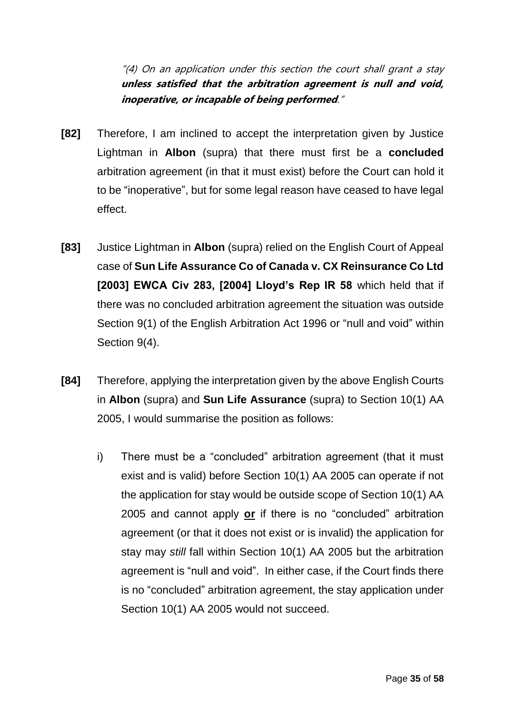"(4) On an application under this section the court shall grant a stay **unless satisfied that the arbitration agreement is null and void, inoperative, or incapable of being performed**."

- **[82]** Therefore, I am inclined to accept the interpretation given by Justice Lightman in **Albon** (supra) that there must first be a **concluded**  arbitration agreement (in that it must exist) before the Court can hold it to be "inoperative", but for some legal reason have ceased to have legal effect.
- **[83]** Justice Lightman in **Albon** (supra) relied on the English Court of Appeal case of **Sun Life Assurance Co of Canada v. CX Reinsurance Co Ltd [2003] EWCA Civ 283, [2004] Lloyd's Rep IR 58** which held that if there was no concluded arbitration agreement the situation was outside Section 9(1) of the English Arbitration Act 1996 or "null and void" within Section 9(4).
- **[84]** Therefore, applying the interpretation given by the above English Courts in **Albon** (supra) and **Sun Life Assurance** (supra) to Section 10(1) AA 2005, I would summarise the position as follows:
	- i) There must be a "concluded" arbitration agreement (that it must exist and is valid) before Section 10(1) AA 2005 can operate if not the application for stay would be outside scope of Section 10(1) AA 2005 and cannot apply **or** if there is no "concluded" arbitration agreement (or that it does not exist or is invalid) the application for stay may *still* fall within Section 10(1) AA 2005 but the arbitration agreement is "null and void". In either case, if the Court finds there is no "concluded" arbitration agreement, the stay application under Section 10(1) AA 2005 would not succeed.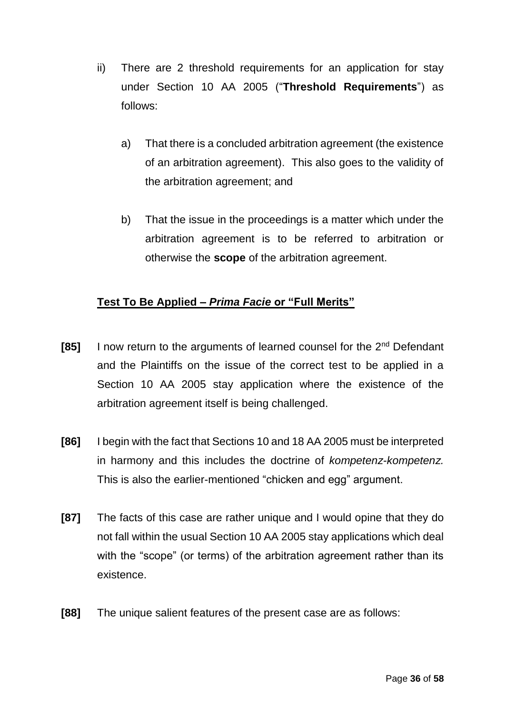- ii) There are 2 threshold requirements for an application for stay under Section 10 AA 2005 ("**Threshold Requirements**") as follows:
	- a) That there is a concluded arbitration agreement (the existence of an arbitration agreement). This also goes to the validity of the arbitration agreement; and
	- b) That the issue in the proceedings is a matter which under the arbitration agreement is to be referred to arbitration or otherwise the **scope** of the arbitration agreement.

## **Test To Be Applied –** *Prima Facie* **or "Full Merits"**

- **[85]** I now return to the arguments of learned counsel for the 2nd Defendant and the Plaintiffs on the issue of the correct test to be applied in a Section 10 AA 2005 stay application where the existence of the arbitration agreement itself is being challenged.
- **[86]** I begin with the fact that Sections 10 and 18 AA 2005 must be interpreted in harmony and this includes the doctrine of *kompetenz-kompetenz.* This is also the earlier-mentioned "chicken and egg" argument.
- **[87]** The facts of this case are rather unique and I would opine that they do not fall within the usual Section 10 AA 2005 stay applications which deal with the "scope" (or terms) of the arbitration agreement rather than its existence.
- **[88]** The unique salient features of the present case are as follows: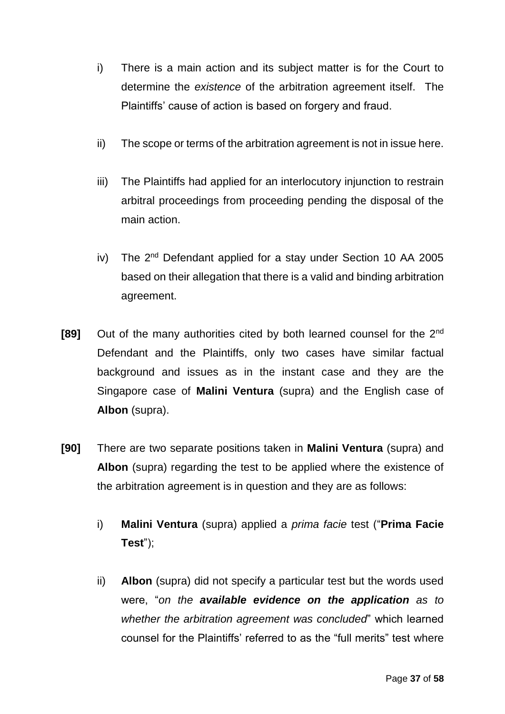- i) There is a main action and its subject matter is for the Court to determine the *existence* of the arbitration agreement itself. The Plaintiffs' cause of action is based on forgery and fraud.
- ii) The scope or terms of the arbitration agreement is not in issue here.
- iii) The Plaintiffs had applied for an interlocutory injunction to restrain arbitral proceedings from proceeding pending the disposal of the main action.
- iv) The  $2^{nd}$  Defendant applied for a stay under Section 10 AA 2005 based on their allegation that there is a valid and binding arbitration agreement.
- **[89]** Out of the many authorities cited by both learned counsel for the 2<sup>nd</sup> Defendant and the Plaintiffs, only two cases have similar factual background and issues as in the instant case and they are the Singapore case of **Malini Ventura** (supra) and the English case of **Albon** (supra).
- **[90]** There are two separate positions taken in **Malini Ventura** (supra) and **Albon** (supra) regarding the test to be applied where the existence of the arbitration agreement is in question and they are as follows:
	- i) **Malini Ventura** (supra) applied a *prima facie* test ("**Prima Facie Test**");
	- ii) **Albon** (supra) did not specify a particular test but the words used were, "*on the available evidence on the application as to whether the arbitration agreement was concluded*" which learned counsel for the Plaintiffs' referred to as the "full merits" test where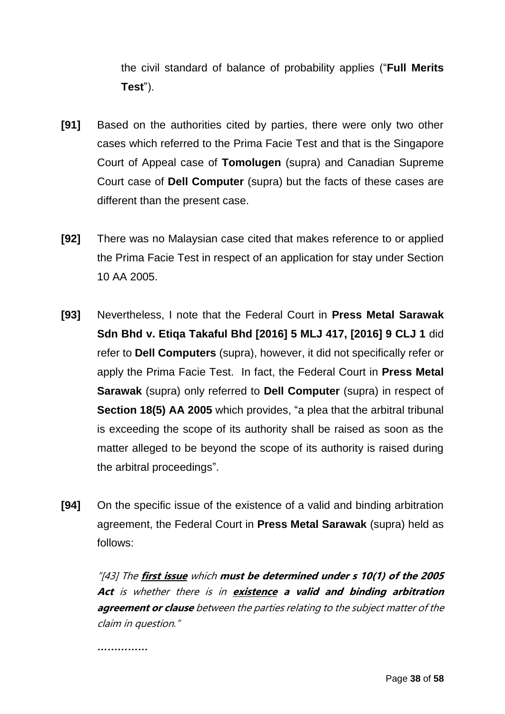the civil standard of balance of probability applies ("**Full Merits Test**").

- **[91]** Based on the authorities cited by parties, there were only two other cases which referred to the Prima Facie Test and that is the Singapore Court of Appeal case of **Tomolugen** (supra) and Canadian Supreme Court case of **Dell Computer** (supra) but the facts of these cases are different than the present case.
- **[92]** There was no Malaysian case cited that makes reference to or applied the Prima Facie Test in respect of an application for stay under Section 10 AA 2005.
- **[93]** Nevertheless, I note that the Federal Court in **Press Metal Sarawak Sdn Bhd v. Etiqa Takaful Bhd [2016] 5 MLJ 417, [2016] 9 CLJ 1** did refer to **Dell Computers** (supra), however, it did not specifically refer or apply the Prima Facie Test. In fact, the Federal Court in **Press Metal Sarawak** (supra) only referred to **Dell Computer** (supra) in respect of **Section 18(5) AA 2005** which provides, "a plea that the arbitral tribunal is exceeding the scope of its authority shall be raised as soon as the matter alleged to be beyond the scope of its authority is raised during the arbitral proceedings".
- **[94]** On the specific issue of the existence of a valid and binding arbitration agreement, the Federal Court in **Press Metal Sarawak** (supra) held as follows:

"[43] The **first issue** which **must be determined under s 10(1) of the 2005 Act** is whether there is in **existence a valid and binding arbitration agreement or clause** between the parties relating to the subject matter of the claim in question."

*……………*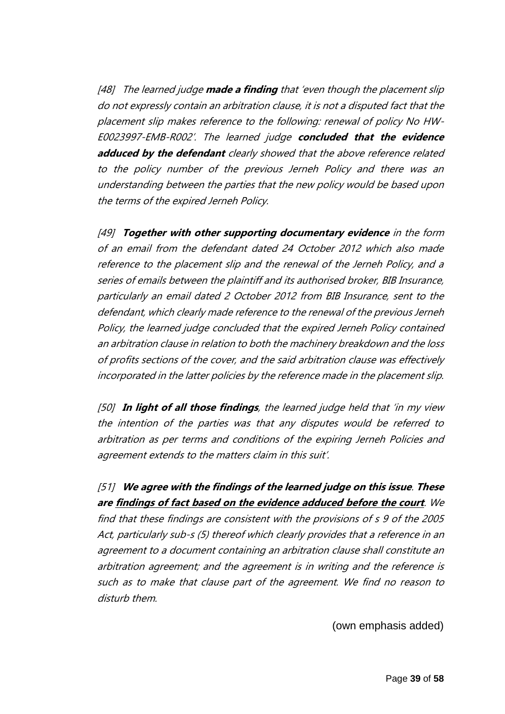[48] The learned judge **made a finding** that 'even though the placement slip do not expressly contain an arbitration clause, it is not a disputed fact that the placement slip makes reference to the following: renewal of policy No HW-E0023997-EMB-R002'. The learned judge **concluded that the evidence adduced by the defendant** clearly showed that the above reference related to the policy number of the previous Jerneh Policy and there was an understanding between the parties that the new policy would be based upon the terms of the expired Jerneh Policy.

[49] **Together with other supporting documentary evidence** in the form of an email from the defendant dated 24 October 2012 which also made reference to the placement slip and the renewal of the Jerneh Policy, and a series of emails between the plaintiff and its authorised broker, BIB Insurance, particularly an email dated 2 October 2012 from BIB Insurance, sent to the defendant, which clearly made reference to the renewal of the previous Jerneh Policy, the learned judge concluded that the expired Jerneh Policy contained an arbitration clause in relation to both the machinery breakdown and the loss of profits sections of the cover, and the said arbitration clause was effectively incorporated in the latter policies by the reference made in the placement slip.

[50] **In light of all those findings**, the learned judge held that 'in my view the intention of the parties was that any disputes would be referred to arbitration as per terms and conditions of the expiring Jerneh Policies and agreement extends to the matters claim in this suit'.

[51] **We agree with the findings of the learned judge on this issue**. **These are findings of fact based on the evidence adduced before the court**. We find that these findings are consistent with the provisions of s 9 of the 2005 Act, particularly sub-s (5) thereof which clearly provides that a reference in an agreement to a document containing an arbitration clause shall constitute an arbitration agreement; and the agreement is in writing and the reference is such as to make that clause part of the agreement. We find no reason to disturb them.

(own emphasis added)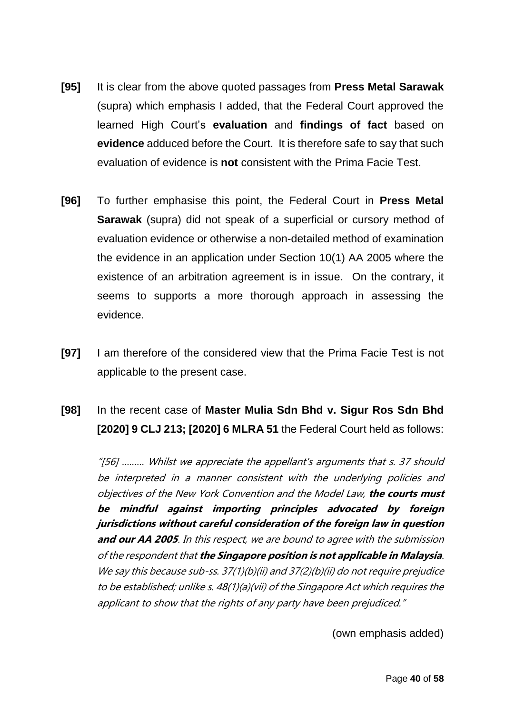- **[95]** It is clear from the above quoted passages from **Press Metal Sarawak** (supra) which emphasis I added, that the Federal Court approved the learned High Court's **evaluation** and **findings of fact** based on **evidence** adduced before the Court. It is therefore safe to say that such evaluation of evidence is **not** consistent with the Prima Facie Test.
- **[96]** To further emphasise this point, the Federal Court in **Press Metal Sarawak** (supra) did not speak of a superficial or cursory method of evaluation evidence or otherwise a non-detailed method of examination the evidence in an application under Section 10(1) AA 2005 where the existence of an arbitration agreement is in issue. On the contrary, it seems to supports a more thorough approach in assessing the evidence.
- **[97]** I am therefore of the considered view that the Prima Facie Test is not applicable to the present case.
- **[98]** In the recent case of **Master Mulia Sdn Bhd v. Sigur Ros Sdn Bhd [2020] 9 CLJ 213; [2020] 6 MLRA 51** the Federal Court held as follows:

"[56] ……… Whilst we appreciate the appellant's arguments that s. 37 should be interpreted in a manner consistent with the underlying policies and objectives of the New York Convention and the Model Law, **the courts must be mindful against importing principles advocated by foreign jurisdictions without careful consideration of the foreign law in question and our AA 2005**. In this respect, we are bound to agree with the submission of the respondent that **the Singapore position is not applicable in Malaysia**. We say this because sub-ss. 37(1)(b)(ii) and 37(2)(b)(ii) do not require prejudice to be established; unlike s. 48(1)(a)(vii) of the Singapore Act which requires the applicant to show that the rights of any party have been prejudiced."

(own emphasis added)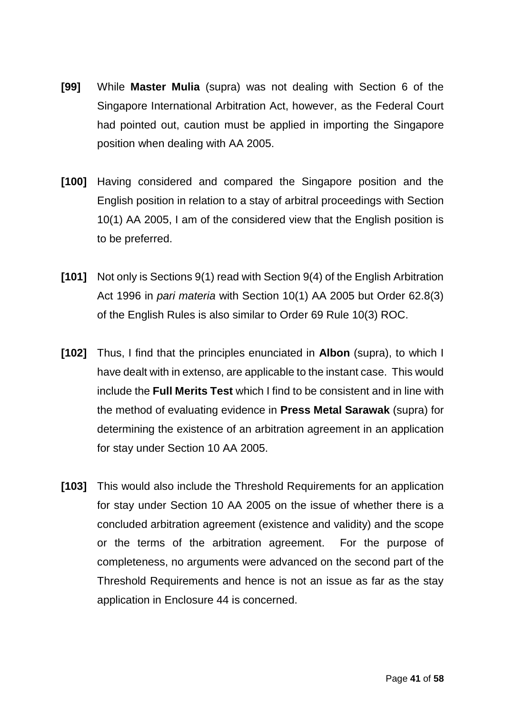- **[99]** While **Master Mulia** (supra) was not dealing with Section 6 of the Singapore International Arbitration Act, however, as the Federal Court had pointed out, caution must be applied in importing the Singapore position when dealing with AA 2005.
- **[100]** Having considered and compared the Singapore position and the English position in relation to a stay of arbitral proceedings with Section 10(1) AA 2005, I am of the considered view that the English position is to be preferred.
- **[101]** Not only is Sections 9(1) read with Section 9(4) of the English Arbitration Act 1996 in *pari materia* with Section 10(1) AA 2005 but Order 62.8(3) of the English Rules is also similar to Order 69 Rule 10(3) ROC.
- **[102]** Thus, I find that the principles enunciated in **Albon** (supra), to which I have dealt with in extenso, are applicable to the instant case. This would include the **Full Merits Test** which I find to be consistent and in line with the method of evaluating evidence in **Press Metal Sarawak** (supra) for determining the existence of an arbitration agreement in an application for stay under Section 10 AA 2005.
- **[103]** This would also include the Threshold Requirements for an application for stay under Section 10 AA 2005 on the issue of whether there is a concluded arbitration agreement (existence and validity) and the scope or the terms of the arbitration agreement. For the purpose of completeness, no arguments were advanced on the second part of the Threshold Requirements and hence is not an issue as far as the stay application in Enclosure 44 is concerned.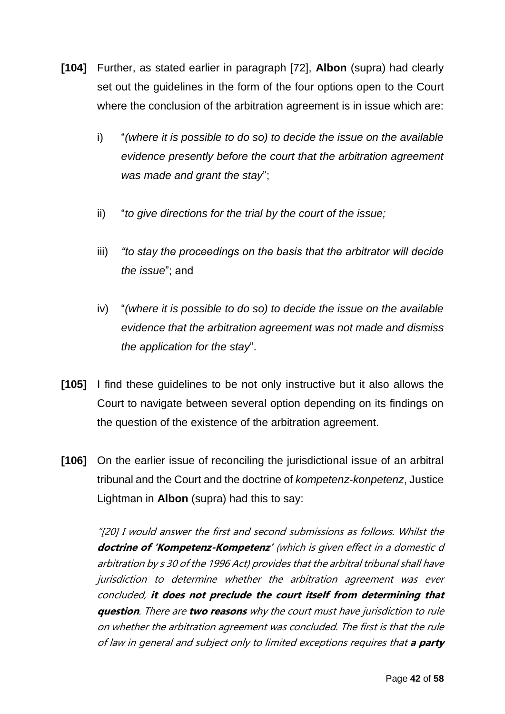- **[104]** Further, as stated earlier in paragraph [72], **Albon** (supra) had clearly set out the guidelines in the form of the four options open to the Court where the conclusion of the arbitration agreement is in issue which are:
	- i) "*(where it is possible to do so) to decide the issue on the available evidence presently before the court that the arbitration agreement was made and grant the stay*";
	- ii) "*to give directions for the trial by the court of the issue;*
	- iii) *"to stay the proceedings on the basis that the arbitrator will decide the issue*"; and
	- iv) "*(where it is possible to do so) to decide the issue on the available evidence that the arbitration agreement was not made and dismiss the application for the stay*".
- **[105]** I find these guidelines to be not only instructive but it also allows the Court to navigate between several option depending on its findings on the question of the existence of the arbitration agreement.
- **[106]** On the earlier issue of reconciling the jurisdictional issue of an arbitral tribunal and the Court and the doctrine of *kompetenz-konpetenz*, Justice Lightman in **Albon** (supra) had this to say:

"[20] I would answer the first and second submissions as follows. Whilst the **doctrine of 'Kompetenz-Kompetenz'** (which is given effect in a domestic d arbitration by s 30 of the 1996 Act) provides that the arbitral tribunal shall have jurisdiction to determine whether the arbitration agreement was ever concluded, **it does not preclude the court itself from determining that question**. There are **two reasons** why the court must have jurisdiction to rule on whether the arbitration agreement was concluded. The first is that the rule of law in general and subject only to limited exceptions requires that **a party**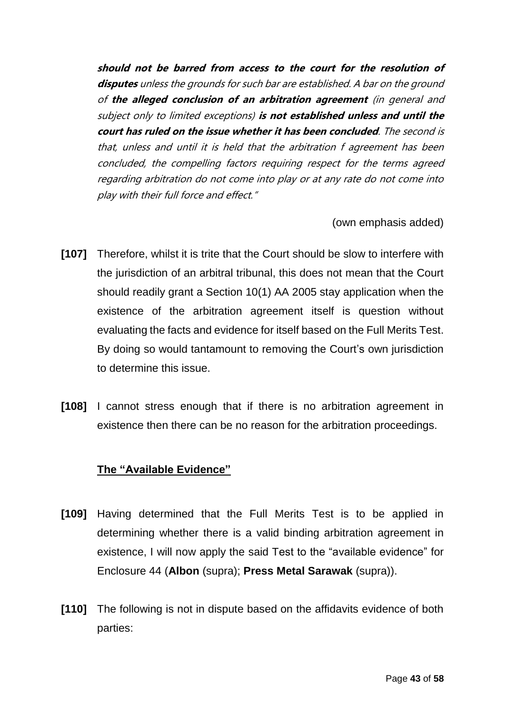**should not be barred from access to the court for the resolution of disputes** unless the grounds for such bar are established. A bar on the ground of **the alleged conclusion of an arbitration agreement** (in general and subject only to limited exceptions) **is not established unless and until the court has ruled on the issue whether it has been concluded**. The second is that, unless and until it is held that the arbitration f agreement has been concluded, the compelling factors requiring respect for the terms agreed regarding arbitration do not come into play or at any rate do not come into play with their full force and effect."

(own emphasis added)

- **[107]** Therefore, whilst it is trite that the Court should be slow to interfere with the jurisdiction of an arbitral tribunal, this does not mean that the Court should readily grant a Section 10(1) AA 2005 stay application when the existence of the arbitration agreement itself is question without evaluating the facts and evidence for itself based on the Full Merits Test. By doing so would tantamount to removing the Court's own jurisdiction to determine this issue.
- **[108]** I cannot stress enough that if there is no arbitration agreement in existence then there can be no reason for the arbitration proceedings.

#### **The "Available Evidence"**

- **[109]** Having determined that the Full Merits Test is to be applied in determining whether there is a valid binding arbitration agreement in existence, I will now apply the said Test to the "available evidence" for Enclosure 44 (**Albon** (supra); **Press Metal Sarawak** (supra)).
- **[110]** The following is not in dispute based on the affidavits evidence of both parties: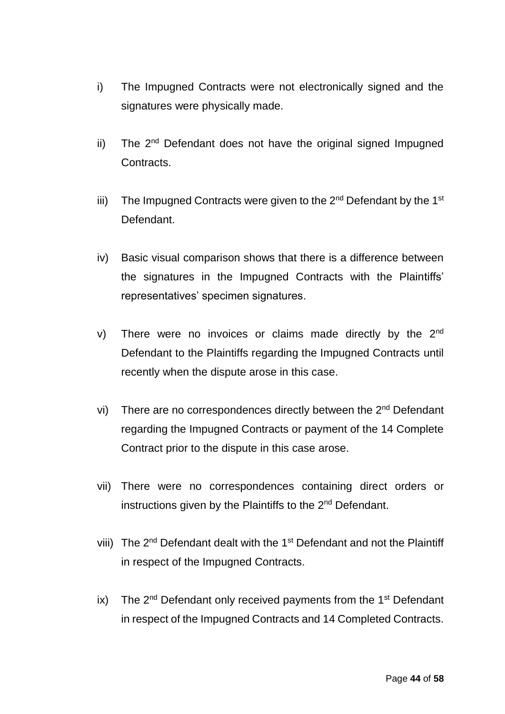- i) The Impugned Contracts were not electronically signed and the signatures were physically made.
- ii) The 2<sup>nd</sup> Defendant does not have the original signed Impugned Contracts.
- iii) The Impugned Contracts were given to the  $2^{nd}$  Defendant by the 1<sup>st</sup> Defendant.
- iv) Basic visual comparison shows that there is a difference between the signatures in the Impugned Contracts with the Plaintiffs' representatives' specimen signatures.
- v) There were no invoices or claims made directly by the  $2<sup>nd</sup>$ Defendant to the Plaintiffs regarding the Impugned Contracts until recently when the dispute arose in this case.
- vi) There are no correspondences directly between the 2<sup>nd</sup> Defendant regarding the Impugned Contracts or payment of the 14 Complete Contract prior to the dispute in this case arose.
- vii) There were no correspondences containing direct orders or instructions given by the Plaintiffs to the 2nd Defendant.
- viii) The 2<sup>nd</sup> Defendant dealt with the 1<sup>st</sup> Defendant and not the Plaintiff in respect of the Impugned Contracts.
- ix) The  $2^{nd}$  Defendant only received payments from the  $1^{st}$  Defendant in respect of the Impugned Contracts and 14 Completed Contracts.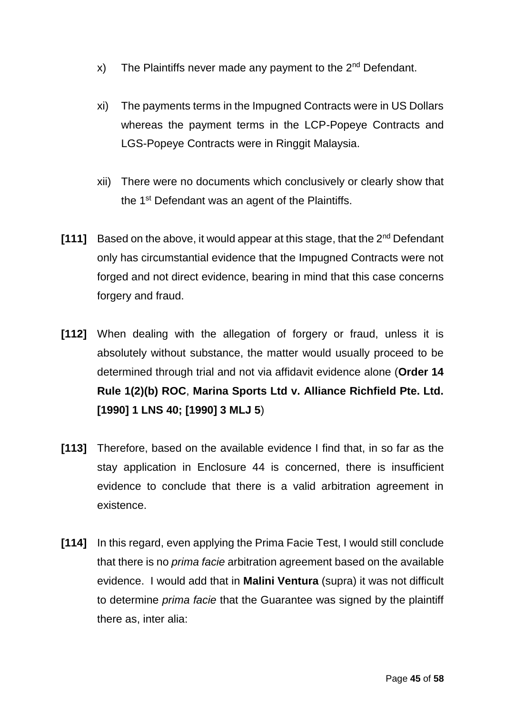- x) The Plaintiffs never made any payment to the  $2^{nd}$  Defendant.
- xi) The payments terms in the Impugned Contracts were in US Dollars whereas the payment terms in the LCP-Popeye Contracts and LGS-Popeye Contracts were in Ringgit Malaysia.
- xii) There were no documents which conclusively or clearly show that the 1<sup>st</sup> Defendant was an agent of the Plaintiffs.
- **[111]** Based on the above, it would appear at this stage, that the 2nd Defendant only has circumstantial evidence that the Impugned Contracts were not forged and not direct evidence, bearing in mind that this case concerns forgery and fraud.
- **[112]** When dealing with the allegation of forgery or fraud, unless it is absolutely without substance, the matter would usually proceed to be determined through trial and not via affidavit evidence alone (**Order 14 Rule 1(2)(b) ROC**, **Marina Sports Ltd v. Alliance Richfield Pte. Ltd. [1990] 1 LNS 40; [1990] 3 MLJ 5**)
- **[113]** Therefore, based on the available evidence I find that, in so far as the stay application in Enclosure 44 is concerned, there is insufficient evidence to conclude that there is a valid arbitration agreement in existence.
- **[114]** In this regard, even applying the Prima Facie Test, I would still conclude that there is no *prima facie* arbitration agreement based on the available evidence. I would add that in **Malini Ventura** (supra) it was not difficult to determine *prima facie* that the Guarantee was signed by the plaintiff there as, inter alia: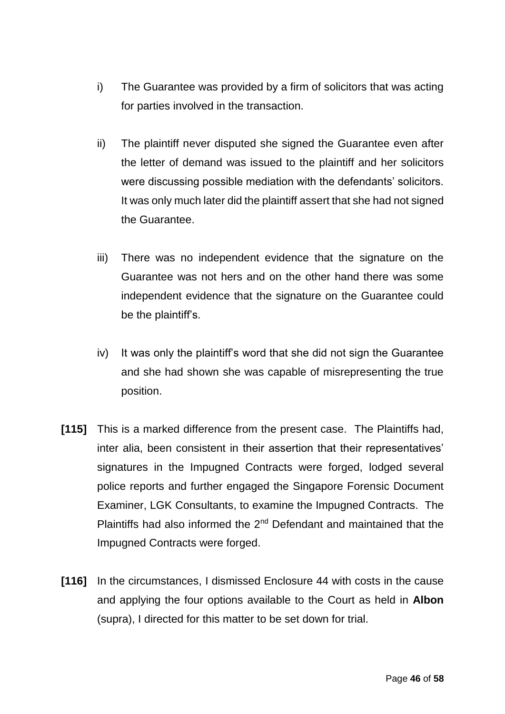- i) The Guarantee was provided by a firm of solicitors that was acting for parties involved in the transaction.
- ii) The plaintiff never disputed she signed the Guarantee even after the letter of demand was issued to the plaintiff and her solicitors were discussing possible mediation with the defendants' solicitors. It was only much later did the plaintiff assert that she had not signed the Guarantee.
- iii) There was no independent evidence that the signature on the Guarantee was not hers and on the other hand there was some independent evidence that the signature on the Guarantee could be the plaintiff's.
- iv) It was only the plaintiff's word that she did not sign the Guarantee and she had shown she was capable of misrepresenting the true position.
- **[115]** This is a marked difference from the present case. The Plaintiffs had, inter alia, been consistent in their assertion that their representatives' signatures in the Impugned Contracts were forged, lodged several police reports and further engaged the Singapore Forensic Document Examiner, LGK Consultants, to examine the Impugned Contracts. The Plaintiffs had also informed the  $2<sup>nd</sup>$  Defendant and maintained that the Impugned Contracts were forged.
- **[116]** In the circumstances, I dismissed Enclosure 44 with costs in the cause and applying the four options available to the Court as held in **Albon** (supra), I directed for this matter to be set down for trial.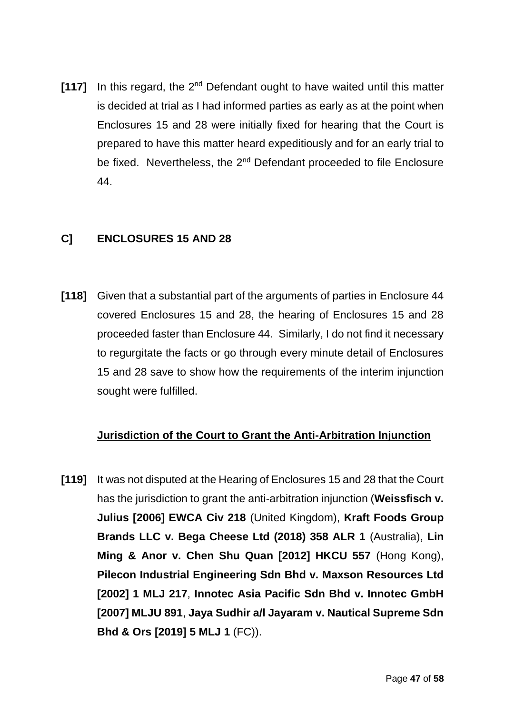**[117]** In this regard, the 2<sup>nd</sup> Defendant ought to have waited until this matter is decided at trial as I had informed parties as early as at the point when Enclosures 15 and 28 were initially fixed for hearing that the Court is prepared to have this matter heard expeditiously and for an early trial to be fixed. Nevertheless, the 2<sup>nd</sup> Defendant proceeded to file Enclosure 44.

## **C] ENCLOSURES 15 AND 28**

**[118]** Given that a substantial part of the arguments of parties in Enclosure 44 covered Enclosures 15 and 28, the hearing of Enclosures 15 and 28 proceeded faster than Enclosure 44. Similarly, I do not find it necessary to regurgitate the facts or go through every minute detail of Enclosures 15 and 28 save to show how the requirements of the interim injunction sought were fulfilled.

## **Jurisdiction of the Court to Grant the Anti-Arbitration Injunction**

**[119]** It was not disputed at the Hearing of Enclosures 15 and 28 that the Court has the jurisdiction to grant the anti-arbitration injunction (**Weissfisch v. Julius [2006] EWCA Civ 218** (United Kingdom), **Kraft Foods Group Brands LLC v. Bega Cheese Ltd (2018) 358 ALR 1** (Australia), **Lin Ming & Anor v. Chen Shu Quan [2012] HKCU 557** (Hong Kong), **Pilecon Industrial Engineering Sdn Bhd v. Maxson Resources Ltd [2002] 1 MLJ 217**, **Innotec Asia Pacific Sdn Bhd v. Innotec GmbH [2007] MLJU 891**, **Jaya Sudhir a/l Jayaram v. Nautical Supreme Sdn Bhd & Ors [2019] 5 MLJ 1** (FC)).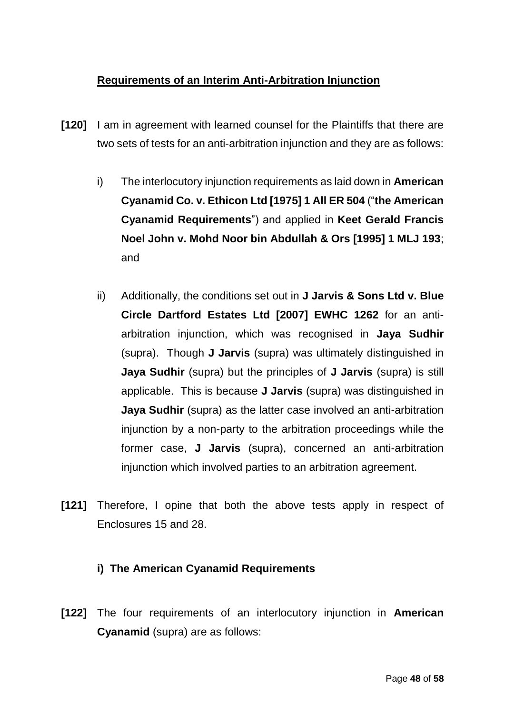## **Requirements of an Interim Anti-Arbitration Injunction**

- **[120]** I am in agreement with learned counsel for the Plaintiffs that there are two sets of tests for an anti-arbitration injunction and they are as follows:
	- i) The interlocutory injunction requirements as laid down in **American Cyanamid Co. v. Ethicon Ltd [1975] 1 All ER 504** ("**the American Cyanamid Requirements**") and applied in **Keet Gerald Francis Noel John v. Mohd Noor bin Abdullah & Ors [1995] 1 MLJ 193**; and
	- ii) Additionally, the conditions set out in **J Jarvis & Sons Ltd v. Blue Circle Dartford Estates Ltd [2007] EWHC 1262** for an antiarbitration injunction, which was recognised in **Jaya Sudhir** (supra). Though **J Jarvis** (supra) was ultimately distinguished in **Jaya Sudhir** (supra) but the principles of **J Jarvis** (supra) is still applicable. This is because **J Jarvis** (supra) was distinguished in **Jaya Sudhir** (supra) as the latter case involved an anti-arbitration injunction by a non-party to the arbitration proceedings while the former case, **J Jarvis** (supra), concerned an anti-arbitration injunction which involved parties to an arbitration agreement.
- **[121]** Therefore, I opine that both the above tests apply in respect of Enclosures 15 and 28.

## **i) The American Cyanamid Requirements**

**[122]** The four requirements of an interlocutory injunction in **American Cyanamid** (supra) are as follows: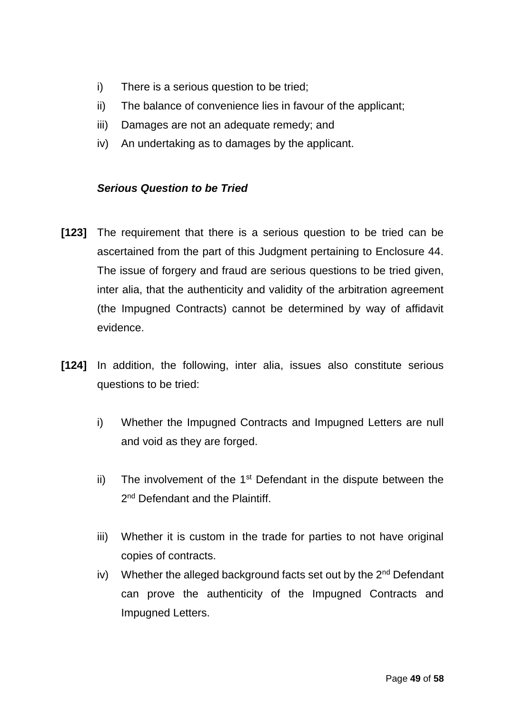- i) There is a serious question to be tried;
- ii) The balance of convenience lies in favour of the applicant;
- iii) Damages are not an adequate remedy; and
- iv) An undertaking as to damages by the applicant.

## *Serious Question to be Tried*

- **[123]** The requirement that there is a serious question to be tried can be ascertained from the part of this Judgment pertaining to Enclosure 44. The issue of forgery and fraud are serious questions to be tried given, inter alia, that the authenticity and validity of the arbitration agreement (the Impugned Contracts) cannot be determined by way of affidavit evidence.
- **[124]** In addition, the following, inter alia, issues also constitute serious questions to be tried:
	- i) Whether the Impugned Contracts and Impugned Letters are null and void as they are forged.
	- ii) The involvement of the  $1<sup>st</sup>$  Defendant in the dispute between the 2<sup>nd</sup> Defendant and the Plaintiff.
	- iii) Whether it is custom in the trade for parties to not have original copies of contracts.
	- iv) Whether the alleged background facts set out by the  $2<sup>nd</sup>$  Defendant can prove the authenticity of the Impugned Contracts and Impugned Letters.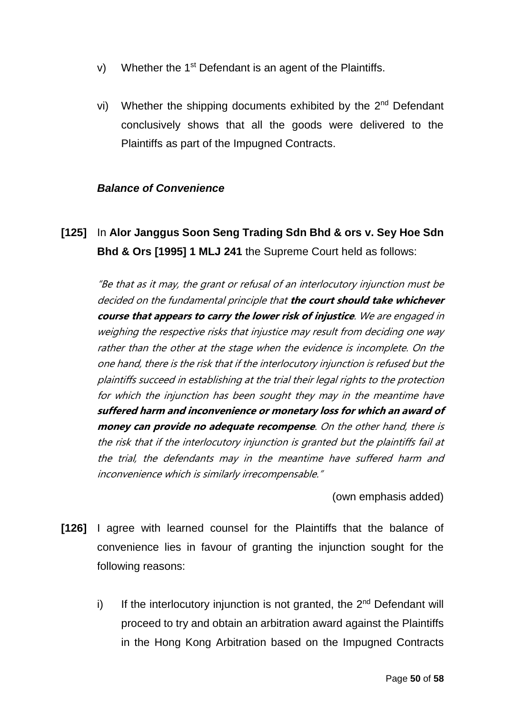- v) Whether the 1<sup>st</sup> Defendant is an agent of the Plaintiffs.
- vi) Whether the shipping documents exhibited by the  $2^{nd}$  Defendant conclusively shows that all the goods were delivered to the Plaintiffs as part of the Impugned Contracts.

### *Balance of Convenience*

**[125]** In **Alor Janggus Soon Seng Trading Sdn Bhd & ors v. Sey Hoe Sdn Bhd & Ors [1995] 1 MLJ 241** the Supreme Court held as follows:

"Be that as it may, the grant or refusal of an interlocutory injunction must be decided on the fundamental principle that **the court should take whichever course that appears to carry the lower risk of injustice**. We are engaged in weighing the respective risks that injustice may result from deciding one way rather than the other at the stage when the evidence is incomplete. On the one hand, there is the risk that if the interlocutory injunction is refused but the plaintiffs succeed in establishing at the trial their legal rights to the protection for which the injunction has been sought they may in the meantime have **suffered harm and inconvenience or monetary loss for which an award of money can provide no adequate recompense**. On the other hand, there is the risk that if the interlocutory injunction is granted but the plaintiffs fail at the trial, the defendants may in the meantime have suffered harm and inconvenience which is similarly irrecompensable."

(own emphasis added)

- **[126]** I agree with learned counsel for the Plaintiffs that the balance of convenience lies in favour of granting the injunction sought for the following reasons:
	- i) If the interlocutory injunction is not granted, the  $2<sup>nd</sup>$  Defendant will proceed to try and obtain an arbitration award against the Plaintiffs in the Hong Kong Arbitration based on the Impugned Contracts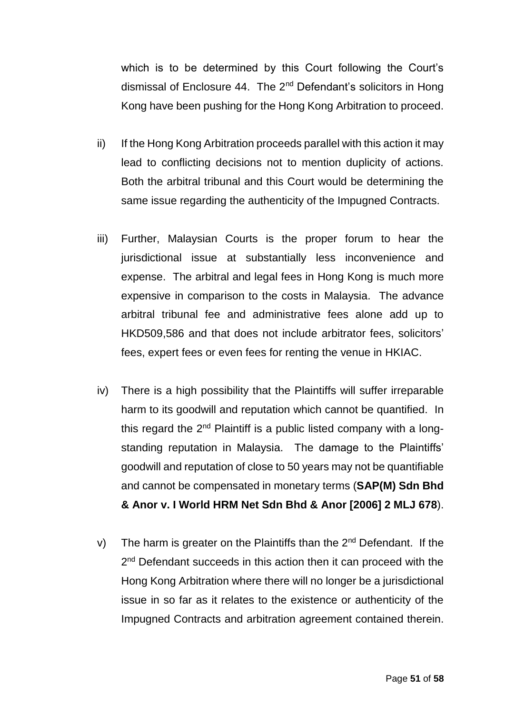which is to be determined by this Court following the Court's dismissal of Enclosure 44. The  $2^{nd}$  Defendant's solicitors in Hong Kong have been pushing for the Hong Kong Arbitration to proceed.

- ii) If the Hong Kong Arbitration proceeds parallel with this action it may lead to conflicting decisions not to mention duplicity of actions. Both the arbitral tribunal and this Court would be determining the same issue regarding the authenticity of the Impugned Contracts.
- iii) Further, Malaysian Courts is the proper forum to hear the jurisdictional issue at substantially less inconvenience and expense. The arbitral and legal fees in Hong Kong is much more expensive in comparison to the costs in Malaysia. The advance arbitral tribunal fee and administrative fees alone add up to HKD509,586 and that does not include arbitrator fees, solicitors' fees, expert fees or even fees for renting the venue in HKIAC.
- iv) There is a high possibility that the Plaintiffs will suffer irreparable harm to its goodwill and reputation which cannot be quantified. In this regard the  $2<sup>nd</sup>$  Plaintiff is a public listed company with a longstanding reputation in Malaysia. The damage to the Plaintiffs' goodwill and reputation of close to 50 years may not be quantifiable and cannot be compensated in monetary terms (**SAP(M) Sdn Bhd & Anor v. I World HRM Net Sdn Bhd & Anor [2006] 2 MLJ 678**).
- v) The harm is greater on the Plaintiffs than the  $2<sup>nd</sup>$  Defendant. If the 2<sup>nd</sup> Defendant succeeds in this action then it can proceed with the Hong Kong Arbitration where there will no longer be a jurisdictional issue in so far as it relates to the existence or authenticity of the Impugned Contracts and arbitration agreement contained therein.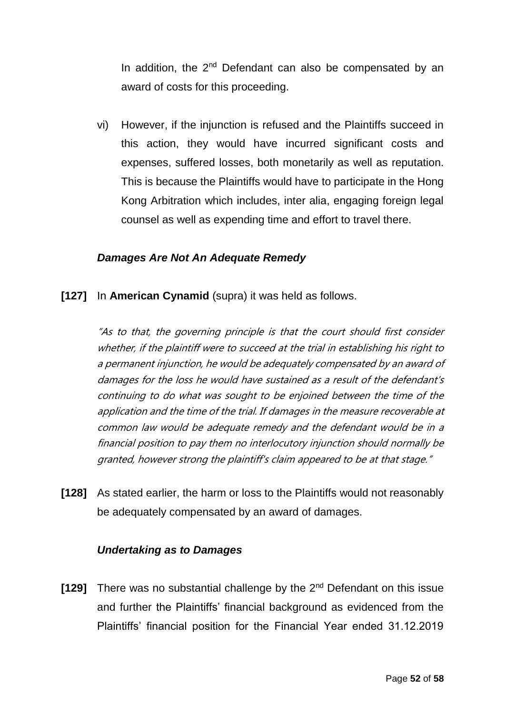In addition, the 2<sup>nd</sup> Defendant can also be compensated by an award of costs for this proceeding.

vi) However, if the injunction is refused and the Plaintiffs succeed in this action, they would have incurred significant costs and expenses, suffered losses, both monetarily as well as reputation. This is because the Plaintiffs would have to participate in the Hong Kong Arbitration which includes, inter alia, engaging foreign legal counsel as well as expending time and effort to travel there.

### *Damages Are Not An Adequate Remedy*

**[127]** In **American Cynamid** (supra) it was held as follows.

"As to that, the governing principle is that the court should first consider whether, if the plaintiff were to succeed at the trial in establishing his right to a permanent injunction, he would be adequately compensated by an award of damages for the loss he would have sustained as a result of the defendant's continuing to do what was sought to be enjoined between the time of the application and the time of the trial. If damages in the measure recoverable at common law would be adequate remedy and the defendant would be in a financial position to pay them no interlocutory injunction should normally be granted, however strong the plaintiff's claim appeared to be at that stage."

**[128]** As stated earlier, the harm or loss to the Plaintiffs would not reasonably be adequately compensated by an award of damages.

### *Undertaking as to Damages*

**[129]** There was no substantial challenge by the 2<sup>nd</sup> Defendant on this issue and further the Plaintiffs' financial background as evidenced from the Plaintiffs' financial position for the Financial Year ended 31.12.2019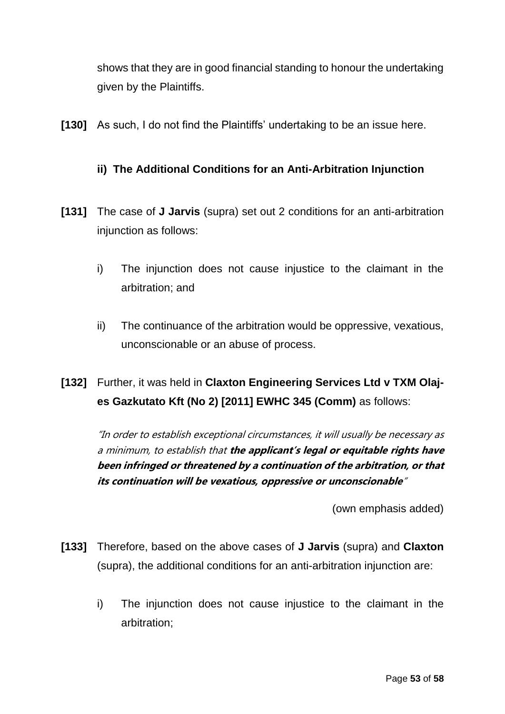shows that they are in good financial standing to honour the undertaking given by the Plaintiffs.

**[130]** As such, I do not find the Plaintiffs' undertaking to be an issue here.

## **ii) The Additional Conditions for an Anti-Arbitration Injunction**

- **[131]** The case of **J Jarvis** (supra) set out 2 conditions for an anti-arbitration injunction as follows:
	- i) The injunction does not cause injustice to the claimant in the arbitration; and
	- ii) The continuance of the arbitration would be oppressive, vexatious, unconscionable or an abuse of process.

# **[132]** Further, it was held in **Claxton Engineering Services Ltd v TXM Olajes Gazkutato Kft (No 2) [2011] EWHC 345 (Comm)** as follows:

"In order to establish exceptional circumstances, it will usually be necessary as a minimum, to establish that **the applicant's legal or equitable rights have been infringed or threatened by a continuation of the arbitration, or that its continuation will be vexatious, oppressive or unconscionable**"

(own emphasis added)

- **[133]** Therefore, based on the above cases of **J Jarvis** (supra) and **Claxton** (supra), the additional conditions for an anti-arbitration injunction are:
	- i) The injunction does not cause injustice to the claimant in the arbitration;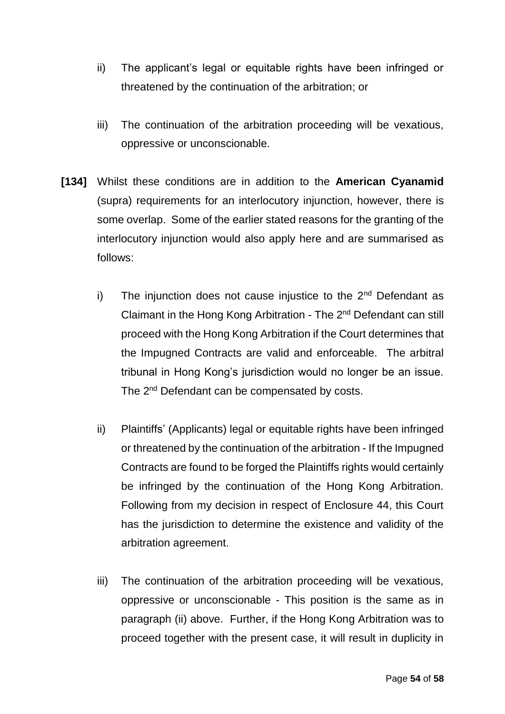- ii) The applicant's legal or equitable rights have been infringed or threatened by the continuation of the arbitration; or
- iii) The continuation of the arbitration proceeding will be vexatious, oppressive or unconscionable.
- **[134]** Whilst these conditions are in addition to the **American Cyanamid** (supra) requirements for an interlocutory injunction, however, there is some overlap. Some of the earlier stated reasons for the granting of the interlocutory injunction would also apply here and are summarised as follows:
	- i) The injunction does not cause injustice to the  $2<sup>nd</sup>$  Defendant as Claimant in the Hong Kong Arbitration - The 2<sup>nd</sup> Defendant can still proceed with the Hong Kong Arbitration if the Court determines that the Impugned Contracts are valid and enforceable. The arbitral tribunal in Hong Kong's jurisdiction would no longer be an issue. The 2<sup>nd</sup> Defendant can be compensated by costs.
	- ii) Plaintiffs' (Applicants) legal or equitable rights have been infringed or threatened by the continuation of the arbitration - If the Impugned Contracts are found to be forged the Plaintiffs rights would certainly be infringed by the continuation of the Hong Kong Arbitration. Following from my decision in respect of Enclosure 44, this Court has the jurisdiction to determine the existence and validity of the arbitration agreement.
	- iii) The continuation of the arbitration proceeding will be vexatious, oppressive or unconscionable - This position is the same as in paragraph (ii) above. Further, if the Hong Kong Arbitration was to proceed together with the present case, it will result in duplicity in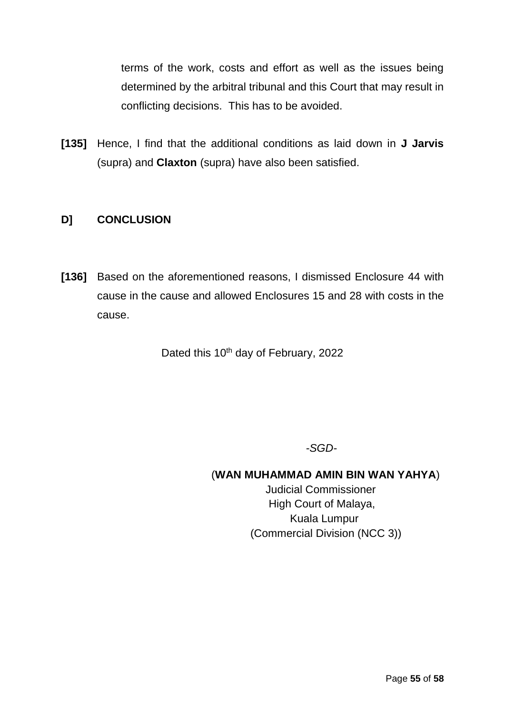terms of the work, costs and effort as well as the issues being determined by the arbitral tribunal and this Court that may result in conflicting decisions. This has to be avoided.

**[135]** Hence, I find that the additional conditions as laid down in **J Jarvis** (supra) and **Claxton** (supra) have also been satisfied.

## **D] CONCLUSION**

**[136]** Based on the aforementioned reasons, I dismissed Enclosure 44 with cause in the cause and allowed Enclosures 15 and 28 with costs in the cause.

Dated this 10<sup>th</sup> day of February, 2022

*-SGD-*

## (**WAN MUHAMMAD AMIN BIN WAN YAHYA**)

 Judicial Commissioner High Court of Malaya, Kuala Lumpur (Commercial Division (NCC 3))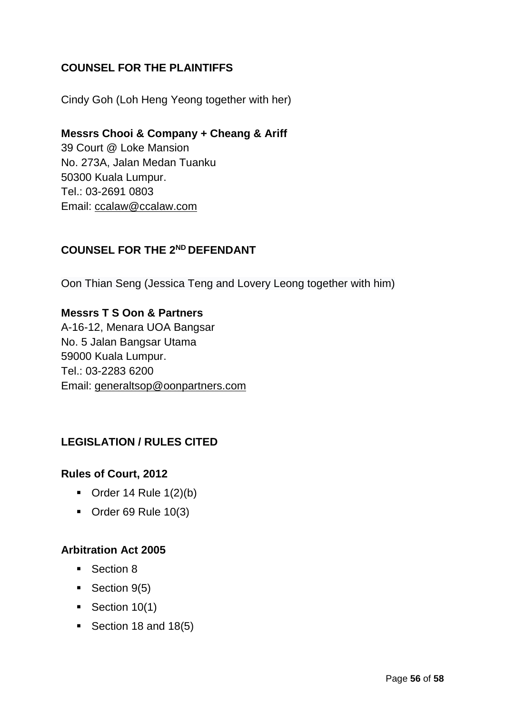## **COUNSEL FOR THE PLAINTIFFS**

Cindy Goh (Loh Heng Yeong together with her)

## **Messrs Chooi & Company + Cheang & Ariff**

39 Court @ Loke Mansion No. 273A, Jalan Medan Tuanku 50300 Kuala Lumpur. Tel.: 03-2691 0803 Email: [ccalaw@ccalaw.com](mailto:ccalaw@ccalaw.com)

## **COUNSEL FOR THE 2ND DEFENDANT**

Oon Thian Seng (Jessica Teng and Lovery Leong together with him)

### **Messrs T S Oon & Partners**

A-16-12, Menara UOA Bangsar No. 5 Jalan Bangsar Utama 59000 Kuala Lumpur. Tel.: 03-2283 6200 Email: [generaltsop@oonpartners.com](mailto:generaltsop@oonpartners.com)

## **LEGISLATION / RULES CITED**

### **Rules of Court, 2012**

- $\blacksquare$  Order 14 Rule 1(2)(b)
- $\blacksquare$  Order 69 Rule 10(3)

### **Arbitration Act 2005**

- Section 8
- $\text{-}$  Section 9(5)
- $\blacksquare$  Section 10(1)
- Section 18 and  $18(5)$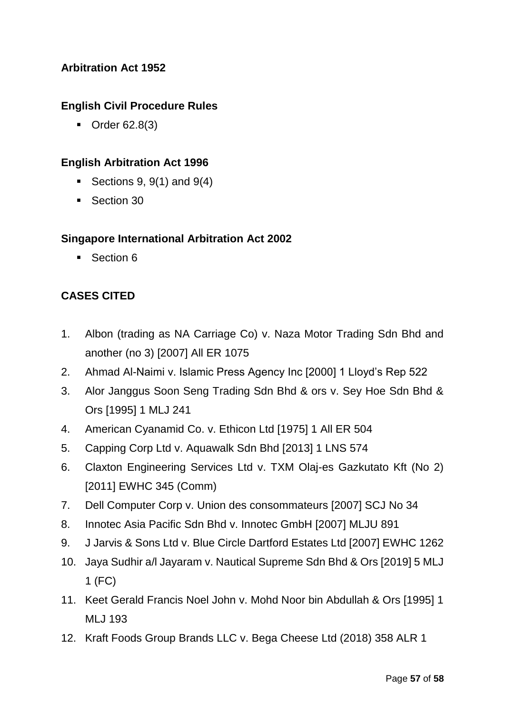## **Arbitration Act 1952**

## **English Civil Procedure Rules**

■ Order 62.8(3)

## **English Arbitration Act 1996**

- Exections 9,  $9(1)$  and  $9(4)$
- Section 30

### **Singapore International Arbitration Act 2002**

■ Section 6

## **CASES CITED**

- 1. Albon (trading as NA Carriage Co) v. Naza Motor Trading Sdn Bhd and another (no 3) [2007] All ER 1075
- 2. Ahmad Al-Naimi v. Islamic Press Agency Inc [2000] 1 Lloyd's Rep 522
- 3. Alor Janggus Soon Seng Trading Sdn Bhd & ors v. Sey Hoe Sdn Bhd & Ors [1995] 1 MLJ 241
- 4. American Cyanamid Co. v. Ethicon Ltd [1975] 1 All ER 504
- 5. Capping Corp Ltd v. Aquawalk Sdn Bhd [2013] 1 LNS 574
- 6. Claxton Engineering Services Ltd v. TXM Olaj-es Gazkutato Kft (No 2) [2011] EWHC 345 (Comm)
- 7. Dell Computer Corp v. Union des consommateurs [2007] SCJ No 34
- 8. Innotec Asia Pacific Sdn Bhd v. Innotec GmbH [2007] MLJU 891
- 9. J Jarvis & Sons Ltd v. Blue Circle Dartford Estates Ltd [2007] EWHC 1262
- 10. Jaya Sudhir a/l Jayaram v. Nautical Supreme Sdn Bhd & Ors [2019] 5 MLJ 1 (FC)
- 11. Keet Gerald Francis Noel John v. Mohd Noor bin Abdullah & Ors [1995] 1 MLJ 193
- 12. Kraft Foods Group Brands LLC v. Bega Cheese Ltd (2018) 358 ALR 1